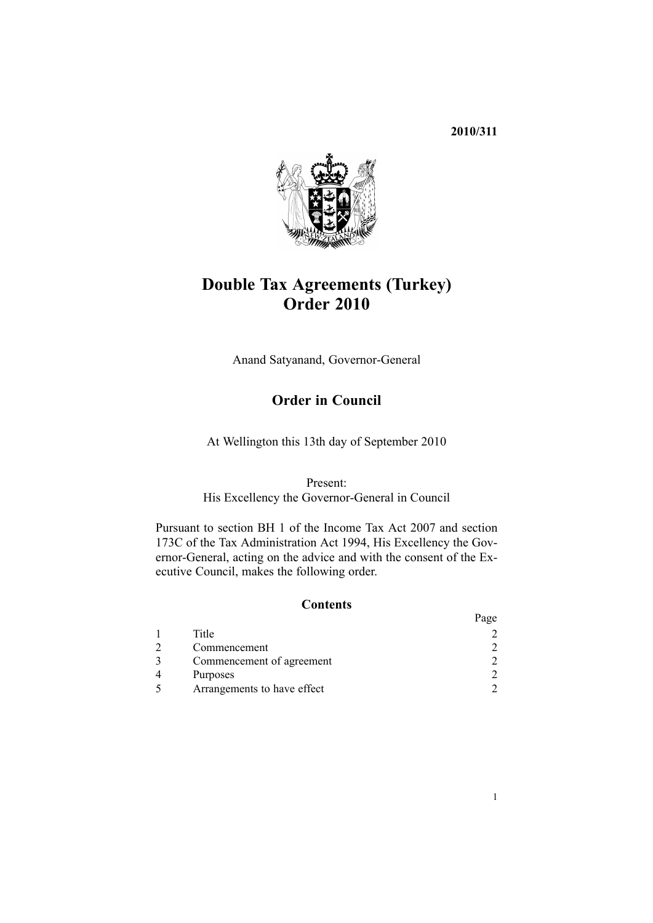# **2010/311**



# **Double Tax Agreements (Turkey) Order 2010**

Anand Satyanand, Governor-General

# **Order in Council**

At Wellington this 13th day of September 2010

#### Present:

His Excellency the Governor-General in Council

Pursuant to [section](http://www.legislation.govt.nz/pdflink.aspx?id=DLM1512385) BH 1 of the Income Tax Act 2007 and [section](http://www.legislation.govt.nz/pdflink.aspx?id=DLM357937) [173C](http://www.legislation.govt.nz/pdflink.aspx?id=DLM357937) of the Tax Administration Act 1994, His Excellency the Governor-General, acting on the advice and with the consent of the Executive Council, makes the following order.

# **Contents**

|                             | Page |
|-----------------------------|------|
| Title                       |      |
| Commencement                |      |
| Commencement of agreement   |      |
| Purposes                    |      |
| Arrangements to have effect |      |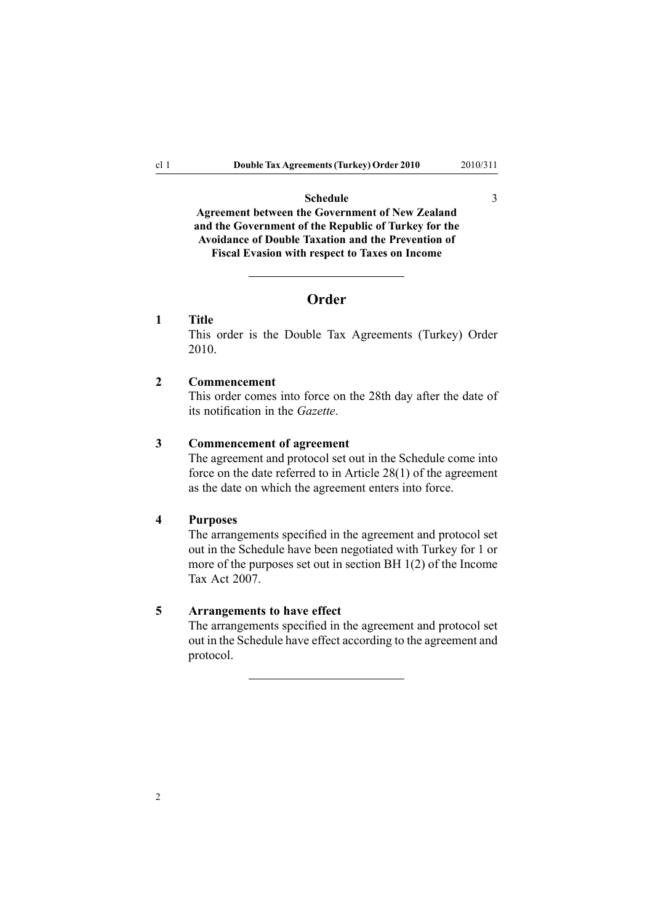## **[Schedule](#page-2-0)** [3](#page-2-0)

<span id="page-1-0"></span>**[Agreement](#page-2-0) between the Government of New Zealand and the [Government](#page-2-0) of the Republic of Turkey for the Avoidance of Double Taxation and the [Prevention](#page-2-0) of Fiscal [Evasion](#page-2-0) with respect to Taxes on Income**

### **Order**

### **1 Title**

This order is the Double Tax Agreements (Turkey) Order 2010.

### **2 Commencement**

This order comes into force on the 28th day after the date of its notification in the *Gazette*.

### **3 Commencement of agreement**

The agreemen<sup>t</sup> and protocol set out in the [Schedule](#page-2-0) come into force on the date referred to in Article 28(1) of the agreemen<sup>t</sup> as the date on which the agreemen<sup>t</sup> enters into force.

#### **4 Purposes**

The arrangements specified in the agreemen<sup>t</sup> and protocol set out in the [Schedule](#page-2-0) have been negotiated with Turkey for 1 or more of the purposes set out in [section](http://www.legislation.govt.nz/pdflink.aspx?id=DLM1512385) BH 1(2) of the Income Tax Act 2007.

#### **5 Arrangements to have effect**

The arrangements specified in the agreemen<sup>t</sup> and protocol set out in the [Schedule](#page-2-0) have effect according to the agreemen<sup>t</sup> and protocol.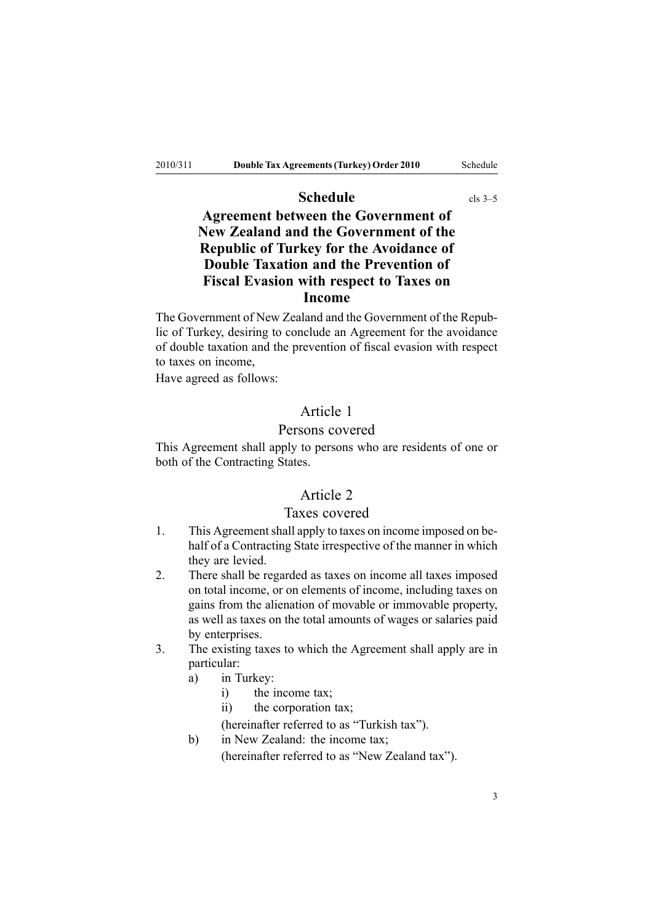# **Schedule** cls [3–5](#page-1-0)

# <span id="page-2-0"></span>**Agreement between the Government of New Zealand and the Government of the Republic of Turkey for the Avoidance of Double Taxation and the Prevention of Fiscal Evasion with respect to Taxes on Income**

The Government of New Zealand and the Government of the Republic of Turkey, desiring to conclude an Agreement for the avoidance of double taxation and the prevention of fiscal evasion with respec<sup>t</sup> to taxes on income,

Have agreed as follows:

# Article 1

# Persons covered

This Agreement shall apply to persons who are residents of one or both of the Contracting States.

# Article 2

## Taxes covered

- 1. This Agreementshall apply to taxes on income imposed on behalf of <sup>a</sup> Contracting State irrespective of the manner in which they are levied.
- 2. There shall be regarded as taxes on income all taxes imposed on total income, or on elements of income, including taxes on gains from the alienation of movable or immovable property, as well as taxes on the total amounts of wages or salaries paid by enterprises.
- 3. The existing taxes to which the Agreement shall apply are in particular:
	- a) in Turkey:
		- i) the income tax:
		- ii) the corporation tax;

(hereinafter referred to as "Turkish tax").

b) in New Zealand: the income tax; (hereinafter referred to as "New Zealand tax").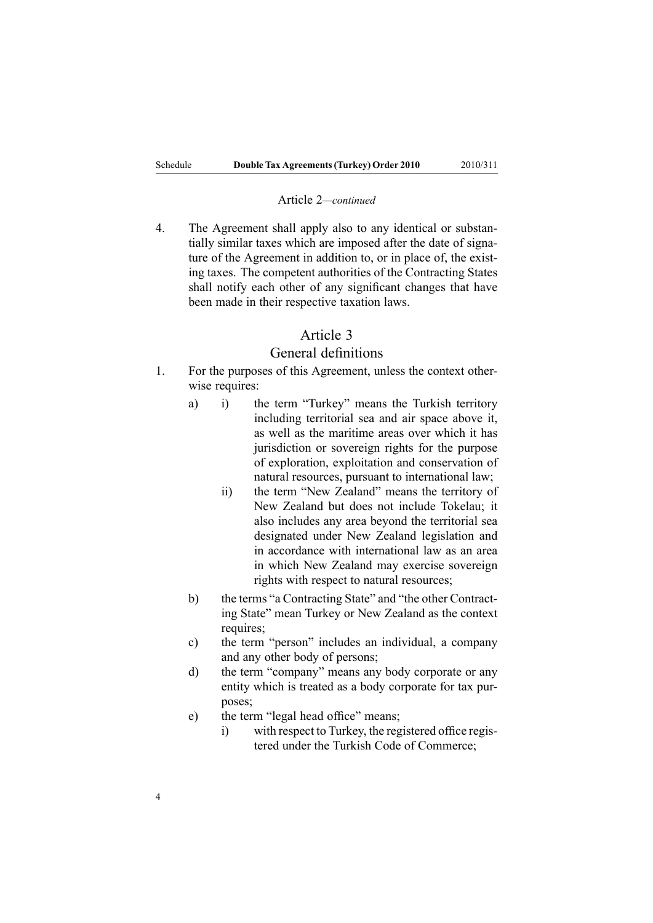#### Article 2*—continued*

4. The Agreement shall apply also to any identical or substantially similar taxes which are imposed after the date of signature of the Agreement in addition to, or in place of, the existing taxes. The competent authorities of the Contracting States shall notify each other of any significant changes that have been made in their respective taxation laws.

# Article 3

### General definitions

- 1. For the purposes of this Agreement, unless the context otherwise requires:
	- a) i) the term "Turkey" means the Turkish territory including territorial sea and air space above it, as well as the maritime areas over which it has jurisdiction or sovereign rights for the purpose of exploration, exploitation and conservation of natural resources, pursuan<sup>t</sup> to international law;
		- ii) the term "New Zealand" means the territory of New Zealand but does not include Tokelau; it also includes any area beyond the territorial sea designated under New Zealand legislation and in accordance with international law as an area in which New Zealand may exercise sovereign rights with respec<sup>t</sup> to natural resources;
	- b) the terms "a Contracting State" and "the other Contracting State" mean Turkey or New Zealand as the context requires;
	- c) the term "person" includes an individual, <sup>a</sup> company and any other body of persons;
	- d) the term "company" means any body corporate or any entity which is treated as <sup>a</sup> body corporate for tax purposes;
	- e) the term "legal head office" means;
		- i) with respec<sup>t</sup> to Turkey, the registered office registered under the Turkish Code of Commerce;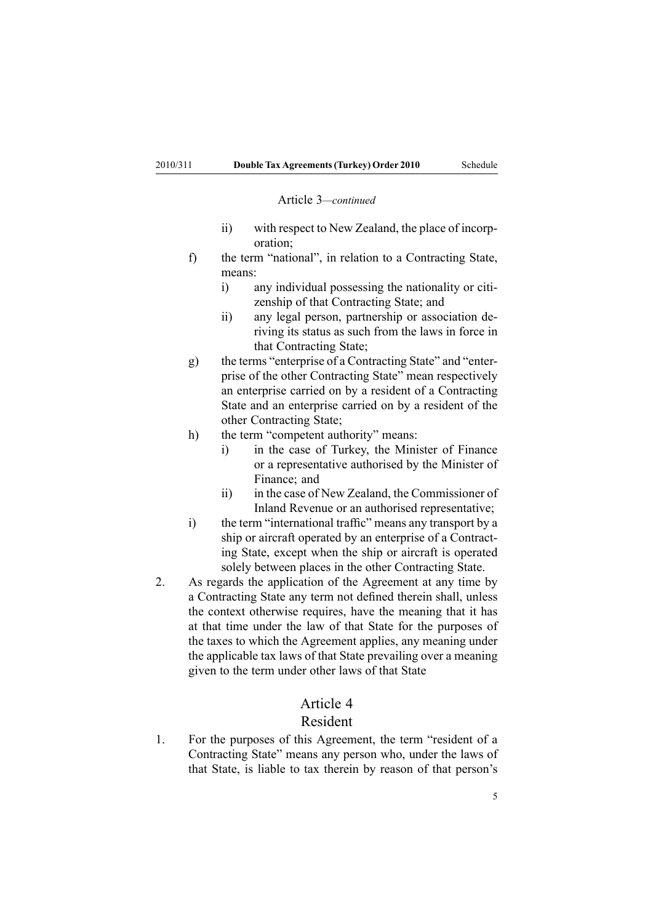#### Article 3*—continued*

- ii) with respec<sup>t</sup> to New Zealand, the place of incorporation;
- f) the term "national", in relation to <sup>a</sup> Contracting State, means:
	- i) any individual possessing the nationality or citizenship of that Contracting State; and
	- ii) any legal person, partnership or association deriving its status as such from the laws in force in that Contracting State;
- g) the terms "enterprise of <sup>a</sup> Contracting State" and "enterprise of the other Contracting State" mean respectively an enterprise carried on by <sup>a</sup> resident of <sup>a</sup> Contracting State and an enterprise carried on by <sup>a</sup> resident of the other Contracting State;
- h) the term "competent authority" means:
	- i) in the case of Turkey, the Minister of Finance or <sup>a</sup> representative authorised by the Minister of Finance; and
	- ii) in the case of New Zealand, the Commissioner of Inland Revenue or an authorised representative;
- i) the term "international traffic" means any transport by a ship or aircraft operated by an enterprise of <sup>a</sup> Contracting State, excep<sup>t</sup> when the ship or aircraft is operated solely between places in the other Contracting State.
- 2. As regards the application of the Agreement at any time by <sup>a</sup> Contracting State any term not defined therein shall, unless the context otherwise requires, have the meaning that it has at that time under the law of that State for the purposes of the taxes to which the Agreement applies, any meaning under the applicable tax laws of that State prevailing over <sup>a</sup> meaning given to the term under other laws of that State

# Article 4

#### Resident

1. For the purposes of this Agreement, the term "resident of <sup>a</sup> Contracting State" means any person who, under the laws of that State, is liable to tax therein by reason of that person's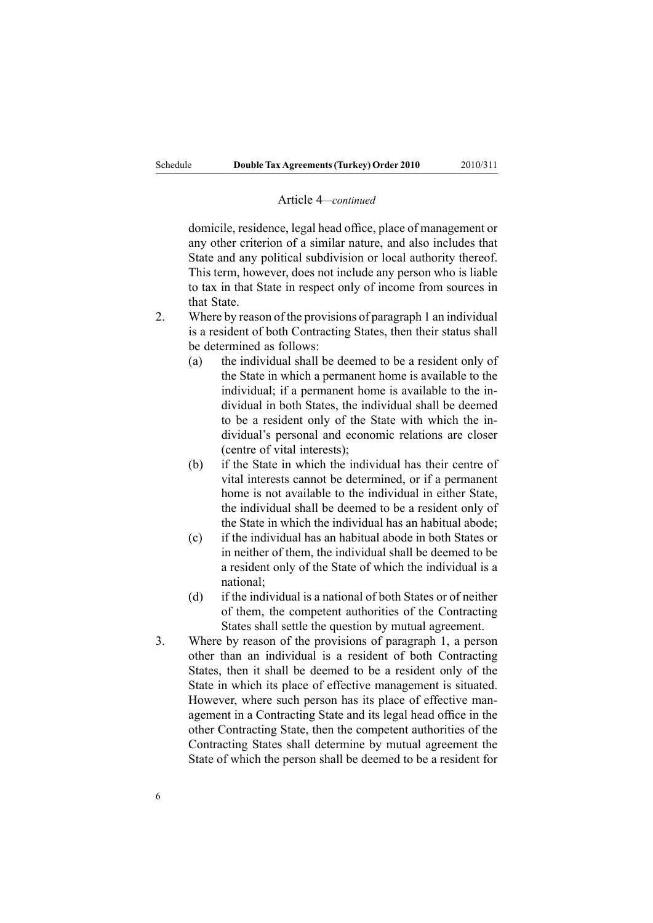#### Article 4*—continued*

domicile, residence, legal head office, place of managemen<sup>t</sup> or any other criterion of <sup>a</sup> similar nature, and also includes that State and any political subdivision or local authority thereof. This term, however, does not include any person who is liable to tax in that State in respec<sup>t</sup> only of income from sources in that State.

- 2. Where by reason of the provisions of paragraph 1 an individual is <sup>a</sup> resident of both Contracting States, then their status shall be determined as follows:
	- (a) the individual shall be deemed to be <sup>a</sup> resident only of the State in which <sup>a</sup> permanen<sup>t</sup> home is available to the individual; if <sup>a</sup> permanen<sup>t</sup> home is available to the individual in both States, the individual shall be deemed to be <sup>a</sup> resident only of the State with which the individual's personal and economic relations are closer (centre of vital interests);
	- (b) if the State in which the individual has their centre of vital interests cannot be determined, or if <sup>a</sup> permanen<sup>t</sup> home is not available to the individual in either State, the individual shall be deemed to be <sup>a</sup> resident only of the State in which the individual has an habitual abode;
	- (c) if the individual has an habitual abode in both States or in neither of them, the individual shall be deemed to be <sup>a</sup> resident only of the State of which the individual is <sup>a</sup> national;
	- (d) if the individual is <sup>a</sup> national of both States or of neither of them, the competent authorities of the Contracting States shall settle the question by mutual agreement.
- 3. Where by reason of the provisions of paragraph 1, <sup>a</sup> person other than an individual is <sup>a</sup> resident of both Contracting States, then it shall be deemed to be <sup>a</sup> resident only of the State in which its place of effective managemen<sup>t</sup> is situated. However, where such person has its place of effective managemen<sup>t</sup> in <sup>a</sup> Contracting State and its legal head office in the other Contracting State, then the competent authorities of the Contracting States shall determine by mutual agreemen<sup>t</sup> the State of which the person shall be deemed to be <sup>a</sup> resident for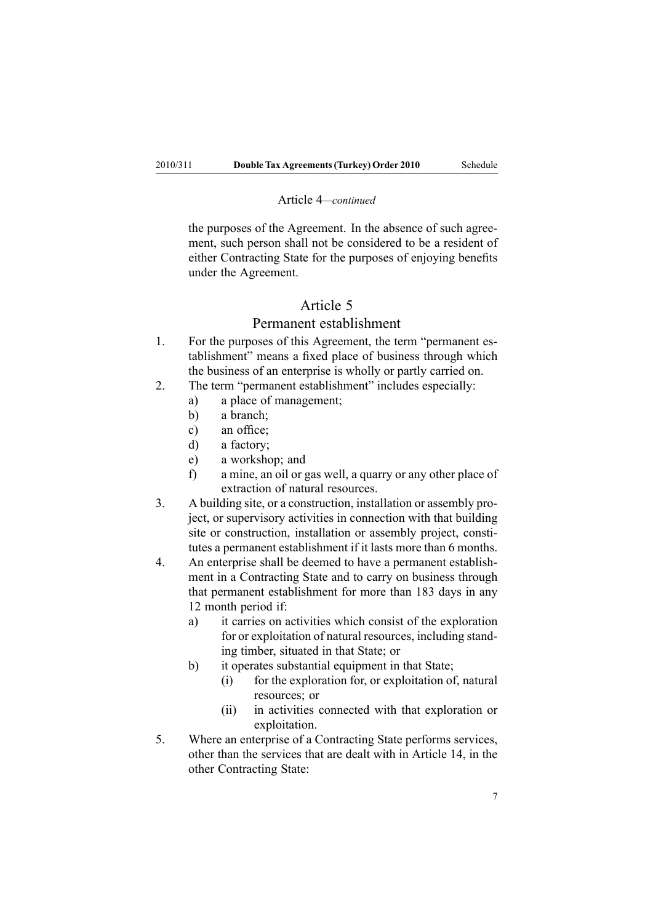### Article 4*—continued*

the purposes of the Agreement. In the absence of such agreement, such person shall not be considered to be <sup>a</sup> resident of either Contracting State for the purposes of enjoying benefits under the Agreement.

### Article 5

#### Permanent establishment

- 1. For the purposes of this Agreement, the term "permanent establishment" means <sup>a</sup> fixed place of business through which the business of an enterprise is wholly or partly carried on.
- 2. The term "permanent establishment" includes especially:
	- a) <sup>a</sup> place of management;
	- b) <sup>a</sup> branch;
	- c) an office;
	- d) <sup>a</sup> factory;
	- e) <sup>a</sup> workshop; and
	- f) <sup>a</sup> mine, an oil or gas well, <sup>a</sup> quarry or any other place of extraction of natural resources.
- 3. A building site, or <sup>a</sup> construction, installation or assembly project, or supervisory activities in connection with that building site or construction, installation or assembly project, constitutes <sup>a</sup> permanen<sup>t</sup> establishment if it lasts more than 6 months.
- 4. An enterprise shall be deemed to have <sup>a</sup> permanen<sup>t</sup> establishment in <sup>a</sup> Contracting State and to carry on business through that permanen<sup>t</sup> establishment for more than 183 days in any 12 month period if:
	- a) it carries on activities which consist of the exploration for or exploitation of natural resources, including standing timber, situated in that State; or
	- b) it operates substantial equipment in that State;
		- (i) for the exploration for, or exploitation of, natural resources; or
		- (ii) in activities connected with that exploration or exploitation.
- 5. Where an enterprise of <sup>a</sup> Contracting State performs services, other than the services that are dealt with in Article 14, in the other Contracting State: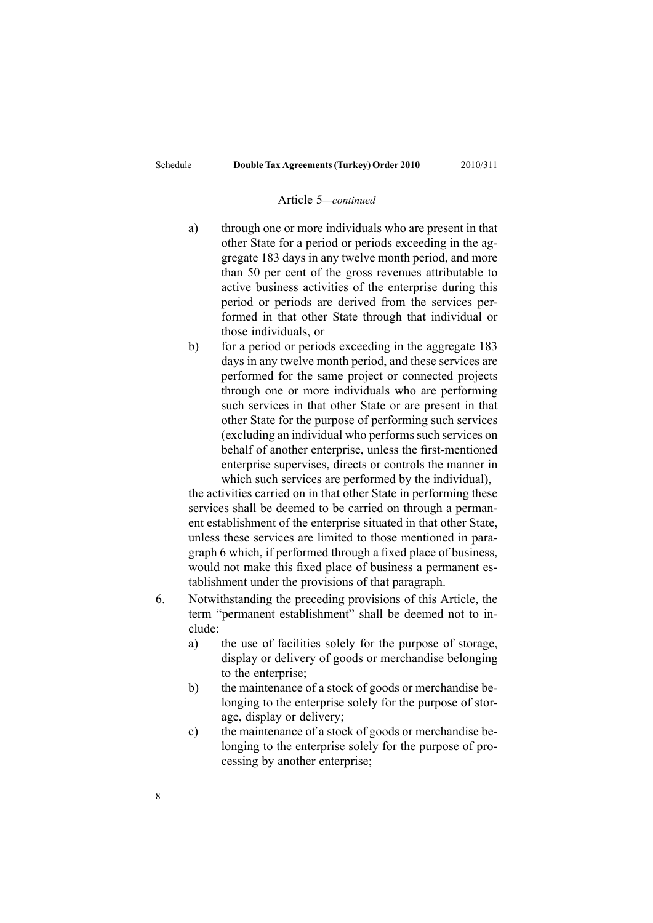#### Article 5*—continued*

- a) through one or more individuals who are presen<sup>t</sup> in that other State for <sup>a</sup> period or periods exceeding in the aggregate 183 days in any twelve month period, and more than 50 per cent of the gross revenues attributable to active business activities of the enterprise during this period or periods are derived from the services performed in that other State through that individual or those individuals, or
- b) for <sup>a</sup> period or periods exceeding in the aggregate 183 days in any twelve month period, and these services are performed for the same project or connected projects through one or more individuals who are performing such services in that other State or are presen<sup>t</sup> in that other State for the purpose of performing such services (excluding an individual who performs such services on behalf of another enterprise, unless the first-mentioned enterprise supervises, directs or controls the manner in which such services are performed by the individual),

the activities carried on in that other State in performing these services shall be deemed to be carried on through <sup>a</sup> permanent establishment of the enterprise situated in that other State, unless these services are limited to those mentioned in paragraph 6 which, if performed through <sup>a</sup> fixed place of business, would not make this fixed place of business <sup>a</sup> permanen<sup>t</sup> establishment under the provisions of that paragraph.

- 6. Notwithstanding the preceding provisions of this Article, the term "permanent establishment" shall be deemed not to include:
	- a) the use of facilities solely for the purpose of storage, display or delivery of goods or merchandise belonging to the enterprise;
	- b) the maintenance of <sup>a</sup> stock of goods or merchandise belonging to the enterprise solely for the purpose of storage, display or delivery;
	- c) the maintenance of <sup>a</sup> stock of goods or merchandise belonging to the enterprise solely for the purpose of processing by another enterprise;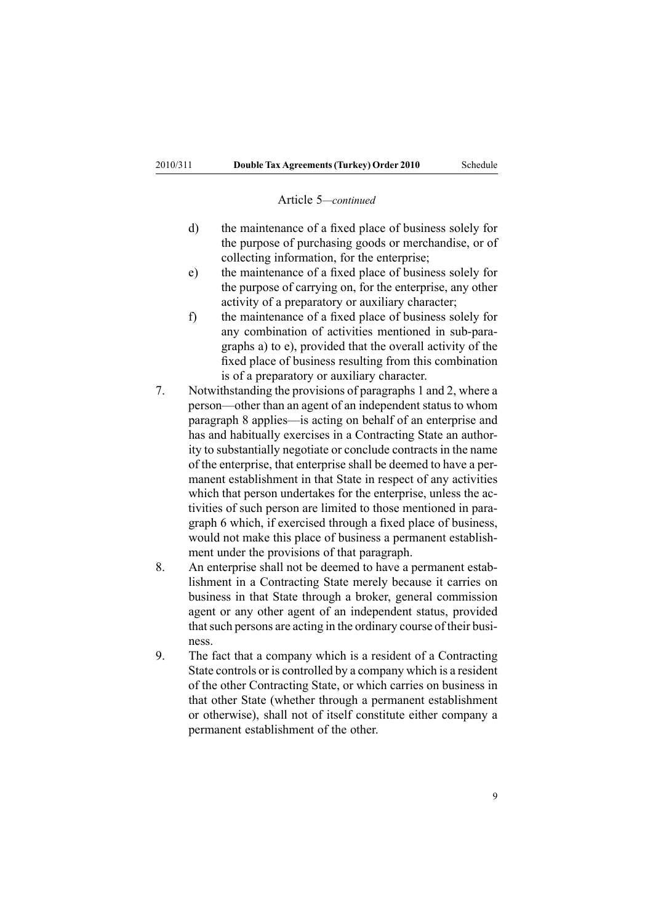#### Article 5*—continued*

- d) the maintenance of <sup>a</sup> fixed place of business solely for the purpose of purchasing goods or merchandise, or of collecting information, for the enterprise;
- e) the maintenance of <sup>a</sup> fixed place of business solely for the purpose of carrying on, for the enterprise, any other activity of <sup>a</sup> preparatory or auxiliary character;
- f) the maintenance of <sup>a</sup> fixed place of business solely for any combination of activities mentioned in sub-paragraphs a) to e), provided that the overall activity of the fixed place of business resulting from this combination is of <sup>a</sup> preparatory or auxiliary character.
- 7. Notwithstanding the provisions of paragraphs 1 and 2, where <sup>a</sup> person—other than an agen<sup>t</sup> of an independent status to whom paragraph 8 applies—is acting on behalf of an enterprise and has and habitually exercises in <sup>a</sup> Contracting State an authority to substantially negotiate or conclude contracts in the name of the enterprise, that enterprise shall be deemed to have <sup>a</sup> permanent establishment in that State in respec<sup>t</sup> of any activities which that person undertakes for the enterprise, unless the activities of such person are limited to those mentioned in paragraph 6 which, if exercised through <sup>a</sup> fixed place of business, would not make this place of business <sup>a</sup> permanen<sup>t</sup> establishment under the provisions of that paragraph.
- 8. An enterprise shall not be deemed to have <sup>a</sup> permanen<sup>t</sup> establishment in <sup>a</sup> Contracting State merely because it carries on business in that State through <sup>a</sup> broker, general commission agen<sup>t</sup> or any other agen<sup>t</sup> of an independent status, provided that such persons are acting in the ordinary course of their business.
- 9. The fact that <sup>a</sup> company which is <sup>a</sup> resident of <sup>a</sup> Contracting State controls or is controlled by <sup>a</sup> company which is <sup>a</sup> resident of the other Contracting State, or which carries on business in that other State (whether through <sup>a</sup> permanen<sup>t</sup> establishment or otherwise), shall not of itself constitute either company <sup>a</sup> permanen<sup>t</sup> establishment of the other.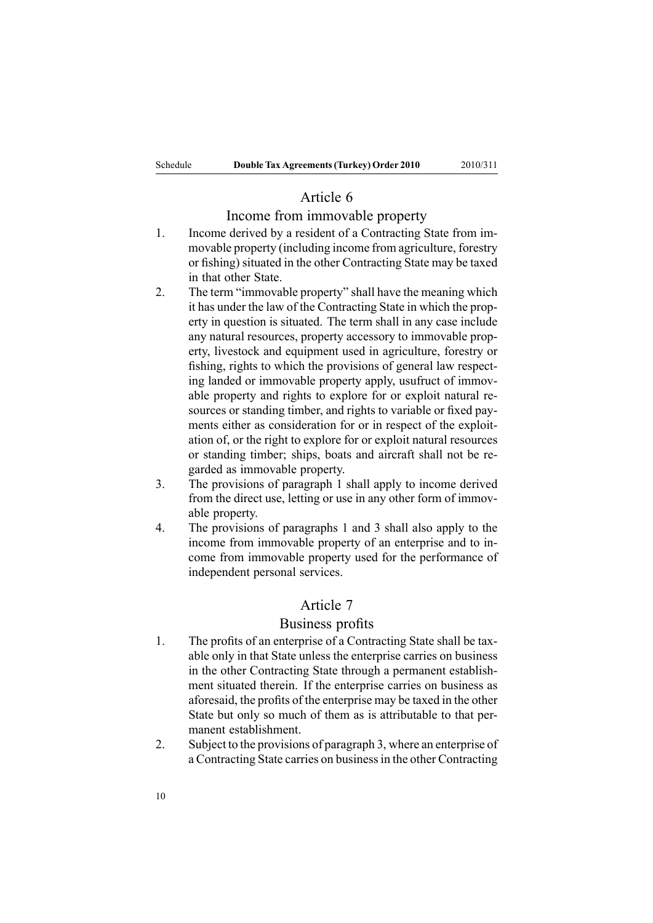# Article 6

### Income from immovable property

- 1. Income derived by <sup>a</sup> resident of <sup>a</sup> Contracting State from immovable property (including income from agriculture, forestry or fishing) situated in the other Contracting State may be taxed in that other State.
- 2. The term "immovable property" shall have the meaning which it has under the law of the Contracting State in which the property in question is situated. The term shall in any case include any natural resources, property accessory to immovable property, livestock and equipment used in agriculture, forestry or fishing, rights to which the provisions of general law respecting landed or immovable property apply, usufruct of immovable property and rights to explore for or exploit natural resources or standing timber, and rights to variable or fixed payments either as consideration for or in respec<sup>t</sup> of the exploitation of, or the right to explore for or exploit natural resources or standing timber; ships, boats and aircraft shall not be regarded as immovable property.
- 3. The provisions of paragraph 1 shall apply to income derived from the direct use, letting or use in any other form of immovable property.
- 4. The provisions of paragraphs 1 and 3 shall also apply to the income from immovable property of an enterprise and to income from immovable property used for the performance of independent personal services.

### Article 7

#### Business profits

- 1. The profits of an enterprise of <sup>a</sup> Contracting State shall be taxable only in that State unless the enterprise carries on business in the other Contracting State through <sup>a</sup> permanen<sup>t</sup> establishment situated therein. If the enterprise carries on business as aforesaid, the profits of the enterprise may be taxed in the other State but only so much of them as is attributable to that permanent establishment.
- 2. Subject to the provisions of paragraph 3, where an enterprise of <sup>a</sup> Contracting State carries on businessin the other Contracting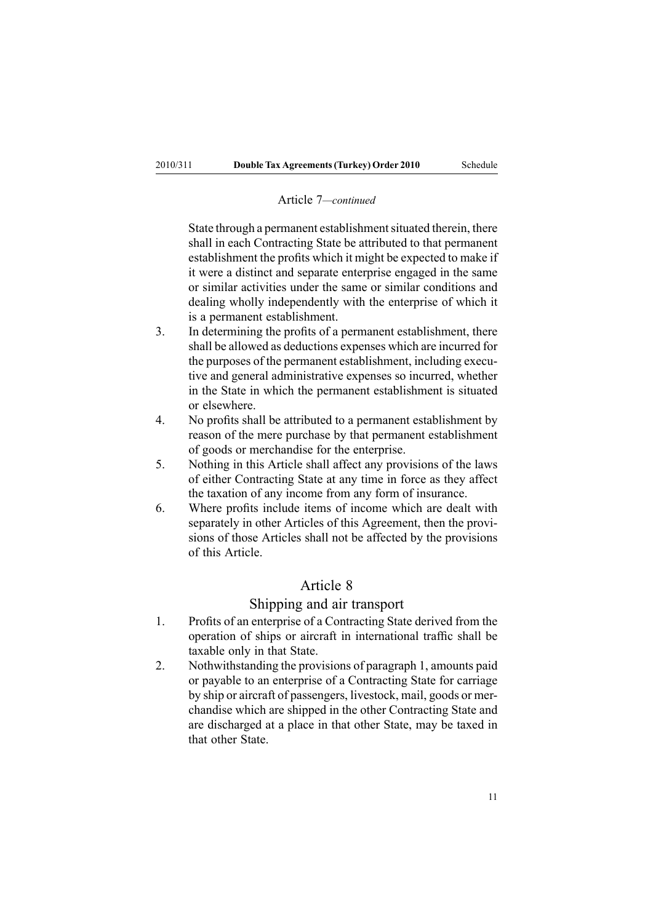### Article 7*—continued*

State through a permanent establishment situated therein, there shall in each Contracting State be attributed to that permanen<sup>t</sup> establishment the profits which it might be expected to make if it were <sup>a</sup> distinct and separate enterprise engaged in the same or similar activities under the same or similar conditions and dealing wholly independently with the enterprise of which it is <sup>a</sup> permanen<sup>t</sup> establishment.

- 3. In determining the profits of <sup>a</sup> permanen<sup>t</sup> establishment, there shall be allowed as deductions expenses which are incurred for the purposes of the permanen<sup>t</sup> establishment, including executive and general administrative expenses so incurred, whether in the State in which the permanen<sup>t</sup> establishment is situated or elsewhere.
- 4. No profits shall be attributed to <sup>a</sup> permanen<sup>t</sup> establishment by reason of the mere purchase by that permanen<sup>t</sup> establishment of goods or merchandise for the enterprise.
- 5. Nothing in this Article shall affect any provisions of the laws of either Contracting State at any time in force as they affect the taxation of any income from any form of insurance.
- 6. Where profits include items of income which are dealt with separately in other Articles of this Agreement, then the provisions of those Articles shall not be affected by the provisions of this Article.

# Article 8

### Shipping and air transport

- 1. Profits of an enterprise of <sup>a</sup> Contracting State derived from the operation of ships or aircraft in international traffic shall be taxable only in that State.
- 2. Nothwithstanding the provisions of paragraph 1, amounts paid or payable to an enterprise of <sup>a</sup> Contracting State for carriage by ship or aircraft of passengers, livestock, mail, goods or merchandise which are shipped in the other Contracting State and are discharged at <sup>a</sup> place in that other State, may be taxed in that other State.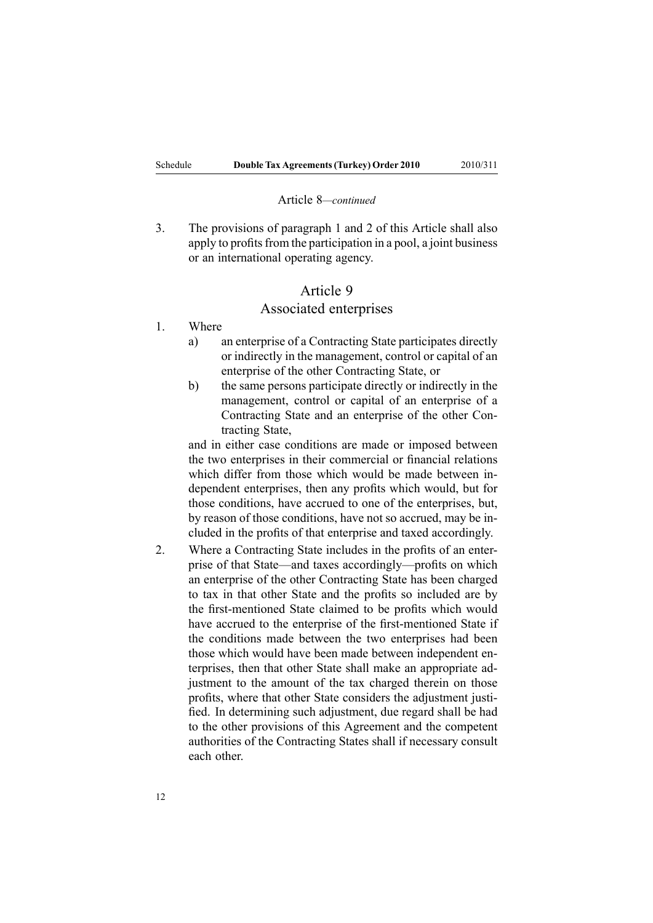#### Article 8*—continued*

3. The provisions of paragraph 1 and 2 of this Article shall also apply to profits from the participation in a pool, a joint business or an international operating agency.

### Article 9

### Associated enterprises

- 1. Where
	- a) an enterprise of <sup>a</sup> Contracting State participates directly or indirectly in the management, control or capital of an enterprise of the other Contracting State, or
	- b) the same persons participate directly or indirectly in the management, control or capital of an enterprise of <sup>a</sup> Contracting State and an enterprise of the other Contracting State,

and in either case conditions are made or imposed between the two enterprises in their commercial or financial relations which differ from those which would be made between independent enterprises, then any profits which would, but for those conditions, have accrued to one of the enterprises, but, by reason of those conditions, have not so accrued, may be included in the profits of that enterprise and taxed accordingly.

2. Where <sup>a</sup> Contracting State includes in the profits of an enterprise of that State—and taxes accordingly—profits on which an enterprise of the other Contracting State has been charged to tax in that other State and the profits so included are by the first-mentioned State claimed to be profits which would have accrued to the enterprise of the first-mentioned State if the conditions made between the two enterprises had been those which would have been made between independent enterprises, then that other State shall make an appropriate adjustment to the amount of the tax charged therein on those profits, where that other State considers the adjustment justified. In determining such adjustment, due regard shall be had to the other provisions of this Agreement and the competent authorities of the Contracting States shall if necessary consult each other.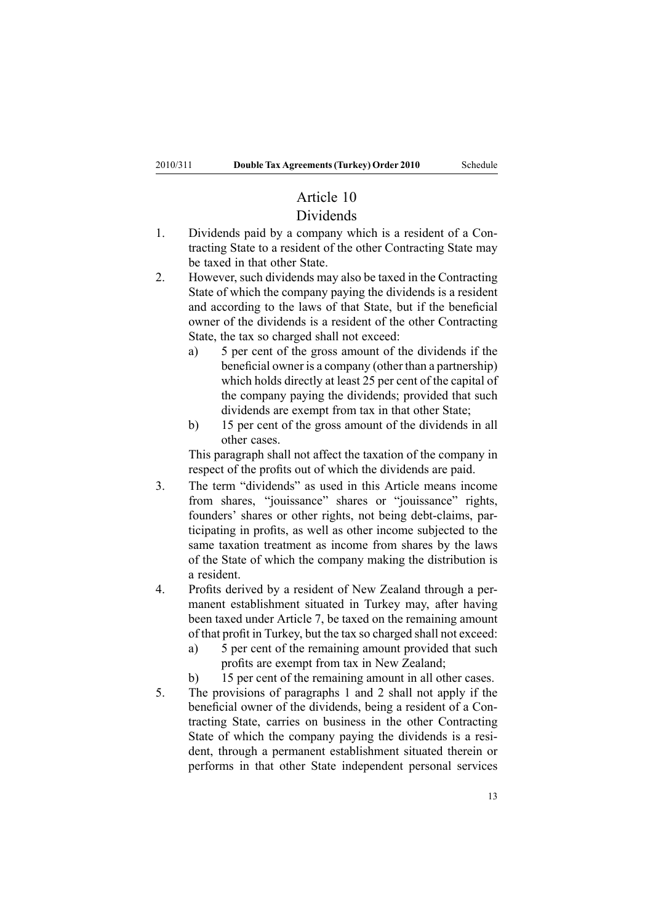# Article 10

# Dividends

- 1. Dividends paid by <sup>a</sup> company which is <sup>a</sup> resident of <sup>a</sup> Contracting State to <sup>a</sup> resident of the other Contracting State may be taxed in that other State.
- 2. However, such dividends may also be taxed in the Contracting State of which the company paying the dividends is <sup>a</sup> resident and according to the laws of that State, but if the beneficial owner of the dividends is <sup>a</sup> resident of the other Contracting State, the tax so charged shall not exceed:
	- a) 5 per cent of the gross amount of the dividends if the beneficial owner is <sup>a</sup> company (other than <sup>a</sup> partnership) which holds directly at least 25 per cent of the capital of the company paying the dividends; provided that such dividends are exemp<sup>t</sup> from tax in that other State;
	- b) 15 per cent of the gross amount of the dividends in all other cases.

This paragraph shall not affect the taxation of the company in respec<sup>t</sup> of the profits out of which the dividends are paid.

- 3. The term "dividends" as used in this Article means income from shares, "jouissance" shares or "jouissance" rights, founders' shares or other rights, not being debt-claims, participating in profits, as well as other income subjected to the same taxation treatment as income from shares by the laws of the State of which the company making the distribution is <sup>a</sup> resident.
- 4. Profits derived by <sup>a</sup> resident of New Zealand through <sup>a</sup> permanent establishment situated in Turkey may, after having been taxed under Article 7, be taxed on the remaining amount of that profit in Turkey, but the tax so charged shall not exceed:
	- a) 5 per cent of the remaining amount provided that such profits are exemp<sup>t</sup> from tax in New Zealand;
	- b) 15 per cent of the remaining amount in all other cases.
- 5. The provisions of paragraphs 1 and 2 shall not apply if the beneficial owner of the dividends, being <sup>a</sup> resident of <sup>a</sup> Contracting State, carries on business in the other Contracting State of which the company paying the dividends is <sup>a</sup> resident, through <sup>a</sup> permanen<sup>t</sup> establishment situated therein or performs in that other State independent personal services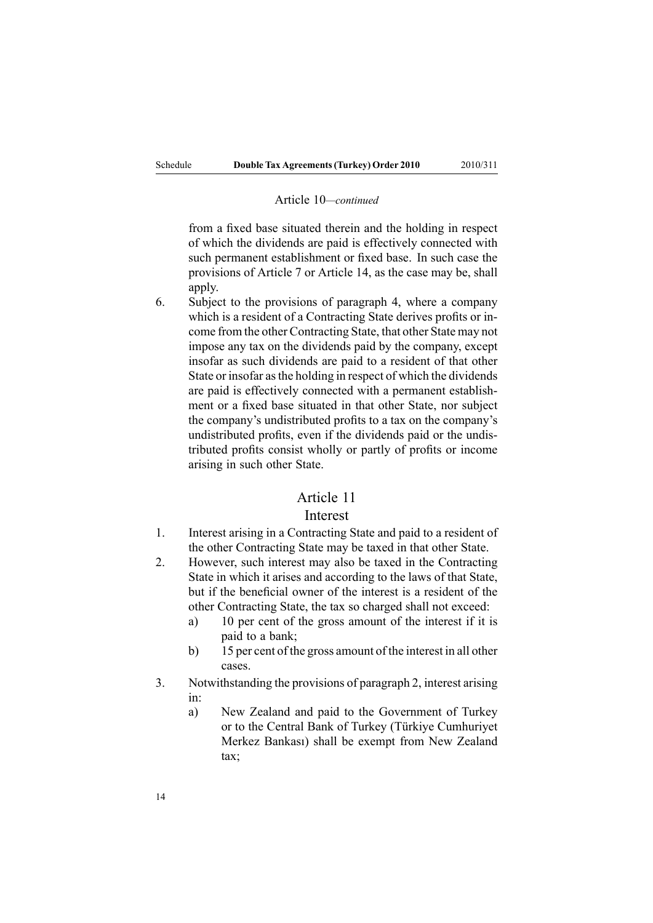#### Article 10*—continued*

from <sup>a</sup> fixed base situated therein and the holding in respec<sup>t</sup> of which the dividends are paid is effectively connected with such permanen<sup>t</sup> establishment or fixed base. In such case the provisions of Article 7 or Article 14, as the case may be, shall apply.

6. Subject to the provisions of paragraph 4, where <sup>a</sup> company which is <sup>a</sup> resident of <sup>a</sup> Contracting State derives profits or income from the other Contracting State, that other State may not impose any tax on the dividends paid by the company, excep<sup>t</sup> insofar as such dividends are paid to <sup>a</sup> resident of that other State or insofar asthe holding in respec<sup>t</sup> of which the dividends are paid is effectively connected with <sup>a</sup> permanen<sup>t</sup> establishment or <sup>a</sup> fixed base situated in that other State, nor subject the company's undistributed profits to <sup>a</sup> tax on the company's undistributed profits, even if the dividends paid or the undistributed profits consist wholly or partly of profits or income arising in such other State.

### Article 11

#### Interest

- 1. Interest arising in <sup>a</sup> Contracting State and paid to <sup>a</sup> resident of the other Contracting State may be taxed in that other State.
- 2. However, such interest may also be taxed in the Contracting State in which it arises and according to the laws of that State, but if the beneficial owner of the interest is <sup>a</sup> resident of the other Contracting State, the tax so charged shall not exceed:
	- a) 10 per cent of the gross amount of the interest if it is paid to <sup>a</sup> bank;
	- b) 15 per cent of the gross amount of the interest in all other cases.
- 3. Notwithstanding the provisions of paragraph 2, interest arising in:
	- a) New Zealand and paid to the Government of Turkey or to the Central Bank of Turkey (Türkiye Cumhuriyet Merkez Bankası) shall be exemp<sup>t</sup> from New Zealand tax;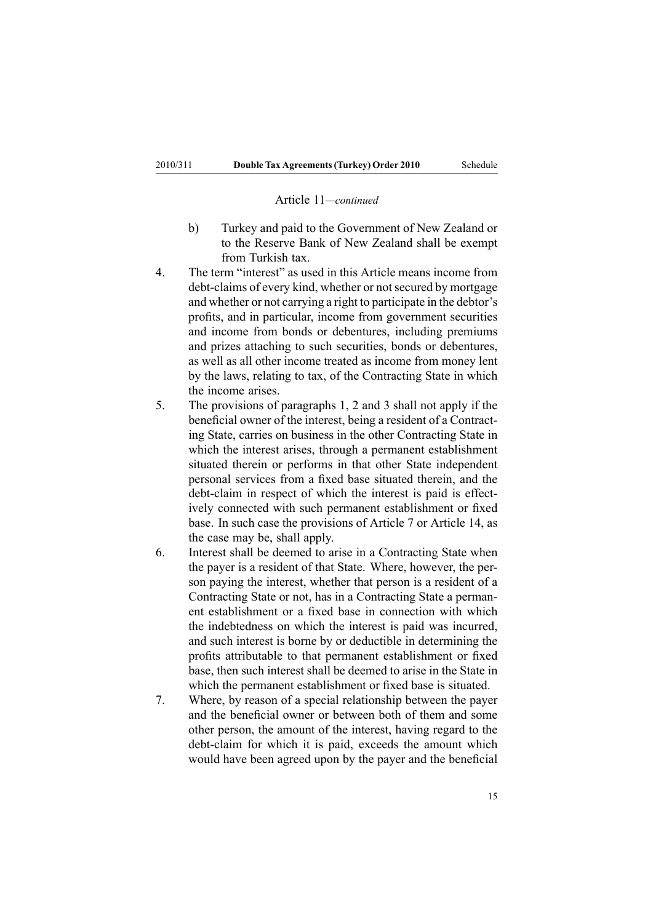#### Article 11*—continued*

- b) Turkey and paid to the Government of New Zealand or to the Reserve Bank of New Zealand shall be exemp<sup>t</sup> from Turkish tax.
- 4. The term "interest" as used in this Article means income from debt-claims of every kind, whether or not secured by mortgage and whether or not carrying <sup>a</sup> right to participate in the debtor's profits, and in particular, income from governmen<sup>t</sup> securities and income from bonds or debentures, including premiums and prizes attaching to such securities, bonds or debentures, as well as all other income treated as income from money lent by the laws, relating to tax, of the Contracting State in which the income arises.
- 5. The provisions of paragraphs 1, 2 and 3 shall not apply if the beneficial owner of the interest, being <sup>a</sup> resident of <sup>a</sup> Contracting State, carries on business in the other Contracting State in which the interest arises, through <sup>a</sup> permanen<sup>t</sup> establishment situated therein or performs in that other State independent personal services from <sup>a</sup> fixed base situated therein, and the debt-claim in respec<sup>t</sup> of which the interest is paid is effectively connected with such permanen<sup>t</sup> establishment or fixed base. In such case the provisions of Article 7 or Article 14, as the case may be, shall apply.
- 6. Interest shall be deemed to arise in <sup>a</sup> Contracting State when the payer is <sup>a</sup> resident of that State. Where, however, the person paying the interest, whether that person is <sup>a</sup> resident of <sup>a</sup> Contracting State or not, has in <sup>a</sup> Contracting State <sup>a</sup> permanent establishment or <sup>a</sup> fixed base in connection with which the indebtedness on which the interest is paid was incurred, and such interest is borne by or deductible in determining the profits attributable to that permanen<sup>t</sup> establishment or fixed base, then such interest shall be deemed to arise in the State in which the permanen<sup>t</sup> establishment or fixed base is situated.
- 7. Where, by reason of <sup>a</sup> special relationship between the payer and the beneficial owner or between both of them and some other person, the amount of the interest, having regard to the debt-claim for which it is paid, exceeds the amount which would have been agreed upon by the payer and the beneficial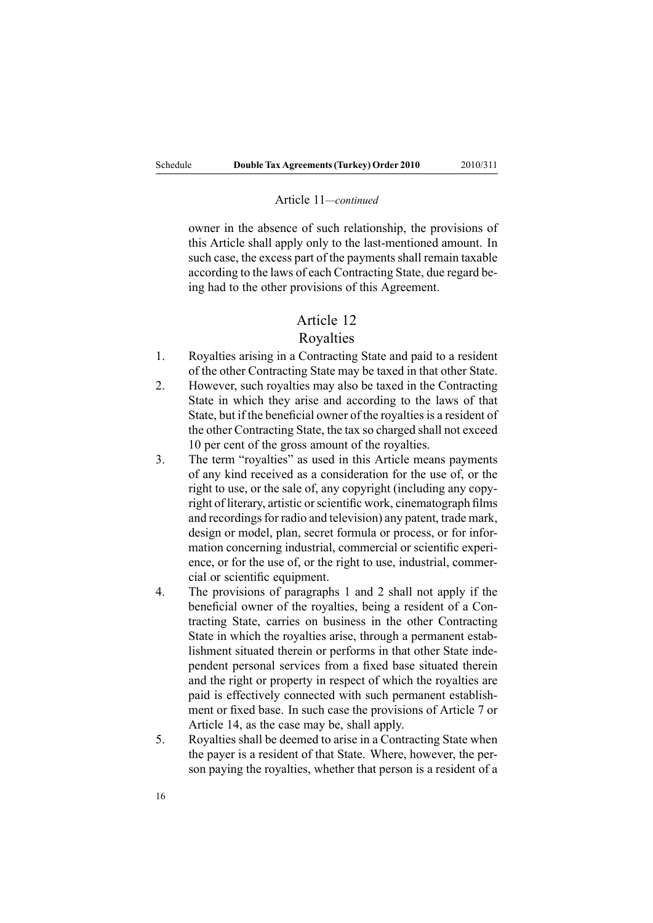#### Article 11*—continued*

owner in the absence of such relationship, the provisions of this Article shall apply only to the last-mentioned amount. In such case, the excess par<sup>t</sup> of the payments shall remain taxable according to the laws of each Contracting State, due regard being had to the other provisions of this Agreement.

### Article 12

#### Royalties

- 1. Royalties arising in <sup>a</sup> Contracting State and paid to <sup>a</sup> resident of the other Contracting State may be taxed in that other State.
- 2. However, such royalties may also be taxed in the Contracting State in which they arise and according to the laws of that State, but if the beneficial owner of the royalties is a resident of the other Contracting State, the tax so charged shall not exceed 10 per cent of the gross amount of the royalties.
- 3. The term "royalties" as used in this Article means payments of any kind received as <sup>a</sup> consideration for the use of, or the right to use, or the sale of, any copyright (including any copyright of literary, artistic orscientific work, cinematograph films and recordings for radio and television) any patent, trade mark, design or model, plan, secret formula or process, or for information concerning industrial, commercial or scientific experience, or for the use of, or the right to use, industrial, commercial or scientific equipment.
- 4. The provisions of paragraphs 1 and 2 shall not apply if the beneficial owner of the royalties, being <sup>a</sup> resident of <sup>a</sup> Contracting State, carries on business in the other Contracting State in which the royalties arise, through <sup>a</sup> permanen<sup>t</sup> establishment situated therein or performs in that other State independent personal services from <sup>a</sup> fixed base situated therein and the right or property in respec<sup>t</sup> of which the royalties are paid is effectively connected with such permanen<sup>t</sup> establishment or fixed base. In such case the provisions of Article 7 or Article 14, as the case may be, shall apply.
- 5. Royalties shall be deemed to arise in <sup>a</sup> Contracting State when the payer is <sup>a</sup> resident of that State. Where, however, the person paying the royalties, whether that person is <sup>a</sup> resident of <sup>a</sup>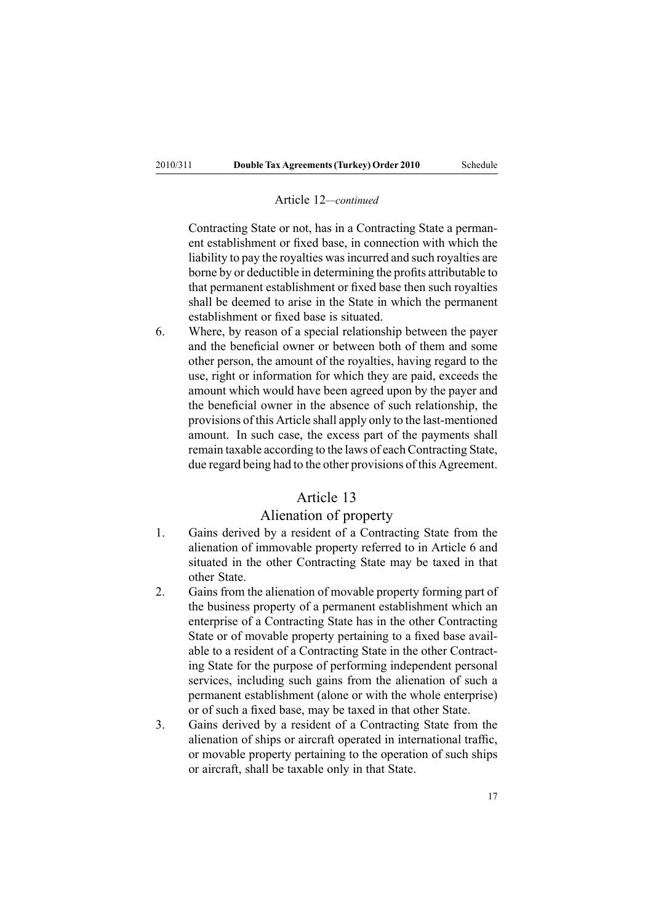#### Article 12*—continued*

Contracting State or not, has in <sup>a</sup> Contracting State <sup>a</sup> permanent establishment or fixed base, in connection with which the liability to pay the royalties was incurred and such royalties are borne by or deductible in determining the profits attributable to that permanen<sup>t</sup> establishment or fixed base then such royalties shall be deemed to arise in the State in which the permanen<sup>t</sup> establishment or fixed base is situated.

6. Where, by reason of <sup>a</sup> special relationship between the payer and the beneficial owner or between both of them and some other person, the amount of the royalties, having regard to the use, right or information for which they are paid, exceeds the amount which would have been agreed upon by the payer and the beneficial owner in the absence of such relationship, the provisions of this Article shall apply only to the last-mentioned amount. In such case, the excess par<sup>t</sup> of the payments shall remain taxable according to the laws of each Contracting State, due regard being had to the other provisions of this Agreement.

# Article 13

### Alienation of property

- 1. Gains derived by <sup>a</sup> resident of <sup>a</sup> Contracting State from the alienation of immovable property referred to in Article 6 and situated in the other Contracting State may be taxed in that other State.
- 2. Gains from the alienation of movable property forming par<sup>t</sup> of the business property of <sup>a</sup> permanen<sup>t</sup> establishment which an enterprise of <sup>a</sup> Contracting State has in the other Contracting State or of movable property pertaining to <sup>a</sup> fixed base available to <sup>a</sup> resident of <sup>a</sup> Contracting State in the other Contracting State for the purpose of performing independent personal services, including such gains from the alienation of such <sup>a</sup> permanen<sup>t</sup> establishment (alone or with the whole enterprise) or of such <sup>a</sup> fixed base, may be taxed in that other State.
- 3. Gains derived by <sup>a</sup> resident of <sup>a</sup> Contracting State from the alienation of ships or aircraft operated in international traffic, or movable property pertaining to the operation of such ships or aircraft, shall be taxable only in that State.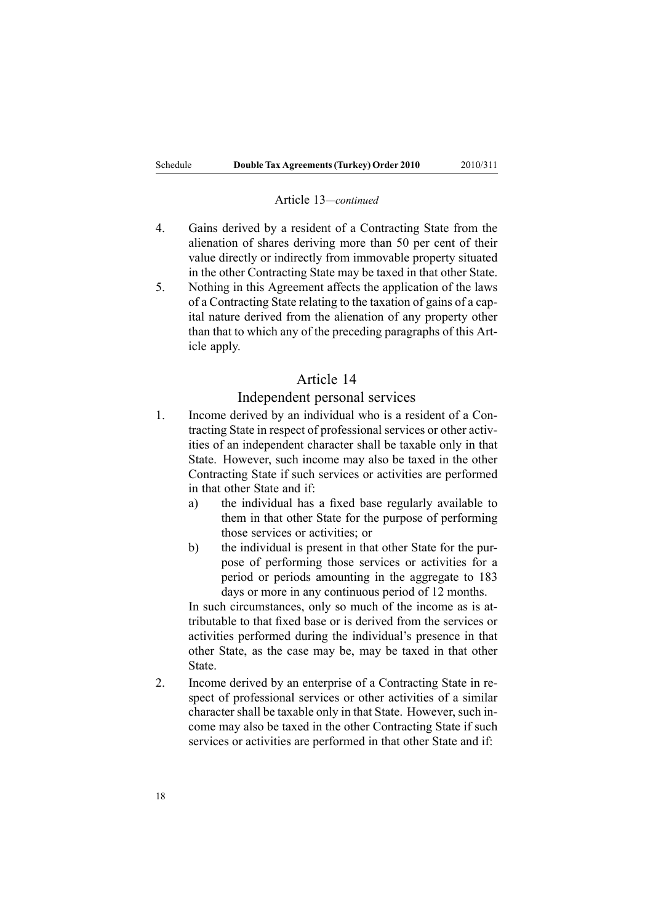#### Article 13*—continued*

- 4. Gains derived by <sup>a</sup> resident of <sup>a</sup> Contracting State from the alienation of shares deriving more than 50 per cent of their value directly or indirectly from immovable property situated in the other Contracting State may be taxed in that other State.
- 5. Nothing in this Agreement affects the application of the laws of <sup>a</sup> Contracting State relating to the taxation of gains of <sup>a</sup> capital nature derived from the alienation of any property other than that to which any of the preceding paragraphs of this Article apply.

# Article 14

#### Independent personal services

- 1. Income derived by an individual who is <sup>a</sup> resident of <sup>a</sup> Contracting State in respec<sup>t</sup> of professional services or other activities of an independent character shall be taxable only in that State. However, such income may also be taxed in the other Contracting State if such services or activities are performed in that other State and if:
	- a) the individual has <sup>a</sup> fixed base regularly available to them in that other State for the purpose of performing those services or activities; or
	- b) the individual is presen<sup>t</sup> in that other State for the purpose of performing those services or activities for <sup>a</sup> period or periods amounting in the aggregate to 183 days or more in any continuous period of 12 months.

In such circumstances, only so much of the income as is attributable to that fixed base or is derived from the services or activities performed during the individual's presence in that other State, as the case may be, may be taxed in that other State.

2. Income derived by an enterprise of <sup>a</sup> Contracting State in respec<sup>t</sup> of professional services or other activities of <sup>a</sup> similar character shall be taxable only in that State. However, such income may also be taxed in the other Contracting State if such services or activities are performed in that other State and if: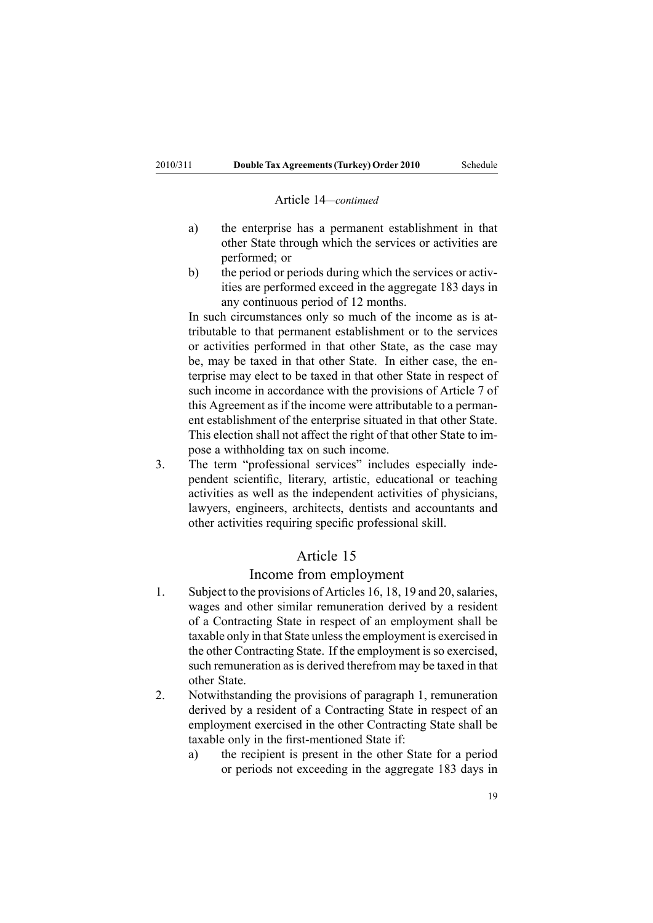#### Article 14*—continued*

- a) the enterprise has <sup>a</sup> permanen<sup>t</sup> establishment in that other State through which the services or activities are performed; or
- b) the period or periods during which the services or activities are performed exceed in the aggregate 183 days in any continuous period of 12 months.

In such circumstances only so much of the income as is attributable to that permanen<sup>t</sup> establishment or to the services or activities performed in that other State, as the case may be, may be taxed in that other State. In either case, the enterprise may elect to be taxed in that other State in respec<sup>t</sup> of such income in accordance with the provisions of Article 7 of this Agreement as if the income were attributable to <sup>a</sup> permanent establishment of the enterprise situated in that other State. This election shall not affect the right of that other State to impose <sup>a</sup> withholding tax on such income.

3. The term "professional services" includes especially independent scientific, literary, artistic, educational or teaching activities as well as the independent activities of physicians, lawyers, engineers, architects, dentists and accountants and other activities requiring specific professional skill.

### Article 15

#### Income from employment

- 1. Subject to the provisions of Articles 16, 18, 19 and 20, salaries, wages and other similar remuneration derived by <sup>a</sup> resident of <sup>a</sup> Contracting State in respec<sup>t</sup> of an employment shall be taxable only in that State unlessthe employment is exercised in the other Contracting State. If the employment is so exercised, such remuneration as is derived therefrom may be taxed in that other State.
- 2. Notwithstanding the provisions of paragraph 1, remuneration derived by <sup>a</sup> resident of <sup>a</sup> Contracting State in respec<sup>t</sup> of an employment exercised in the other Contracting State shall be taxable only in the first-mentioned State if:
	- a) the recipient is presen<sup>t</sup> in the other State for <sup>a</sup> period or periods not exceeding in the aggregate 183 days in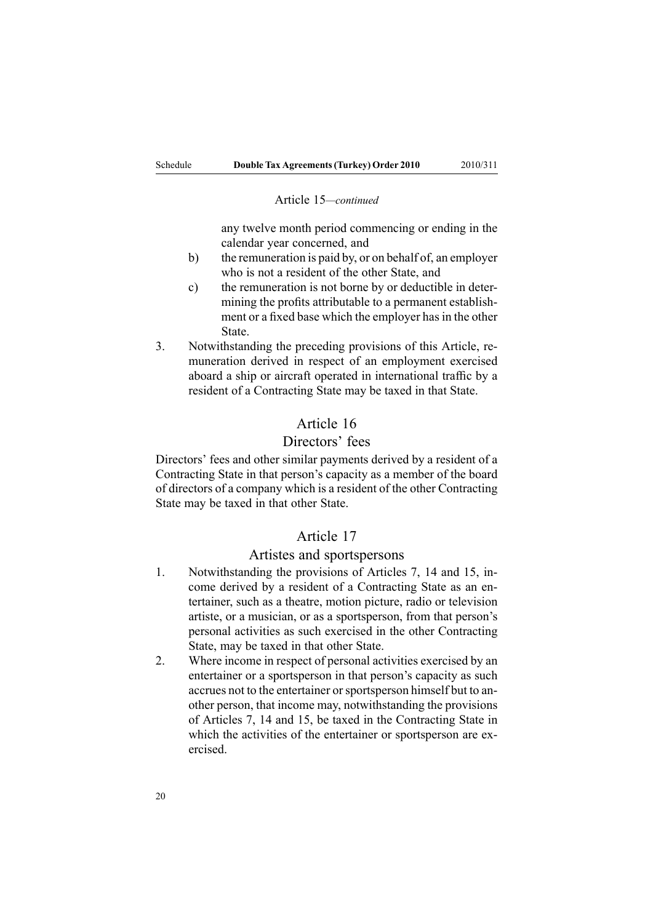#### Article 15*—continued*

any twelve month period commencing or ending in the calendar year concerned, and

- b) the remuneration is paid by, or on behalf of, an employer who is not <sup>a</sup> resident of the other State, and
- c) the remuneration is not borne by or deductible in determining the profits attributable to <sup>a</sup> permanen<sup>t</sup> establishment or a fixed base which the employer has in the other **State**
- 3. Notwithstanding the preceding provisions of this Article, remuneration derived in respec<sup>t</sup> of an employment exercised aboard <sup>a</sup> ship or aircraft operated in international traffic by <sup>a</sup> resident of <sup>a</sup> Contracting State may be taxed in that State.

### Article 16

# Directors' fees

Directors' fees and other similar payments derived by <sup>a</sup> resident of <sup>a</sup> Contracting State in that person's capacity as <sup>a</sup> member of the board of directors of <sup>a</sup> company which is <sup>a</sup> resident of the other Contracting State may be taxed in that other State.

#### Article 17

#### Artistes and sportspersons

- 1. Notwithstanding the provisions of Articles 7, 14 and 15, income derived by <sup>a</sup> resident of <sup>a</sup> Contracting State as an entertainer, such as <sup>a</sup> theatre, motion picture, radio or television artiste, or <sup>a</sup> musician, or as <sup>a</sup> sportsperson, from that person's personal activities as such exercised in the other Contracting State, may be taxed in that other State.
- 2. Where income in respec<sup>t</sup> of personal activities exercised by an entertainer or <sup>a</sup> sportsperson in that person's capacity as such accrues not to the entertainer or sportsperson himself but to another person, that income may, notwithstanding the provisions of Articles 7, 14 and 15, be taxed in the Contracting State in which the activities of the entertainer or sportsperson are exercised.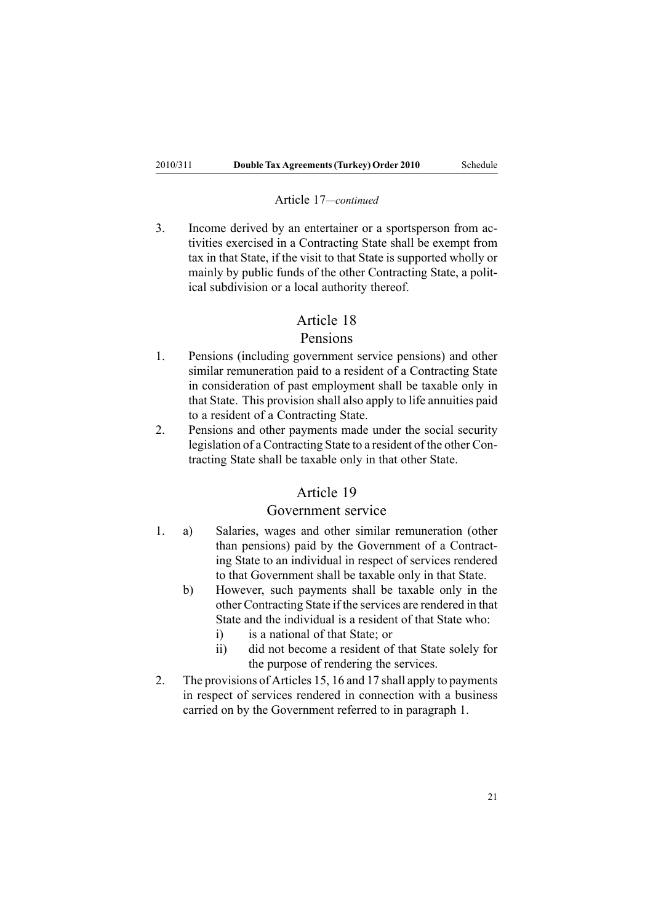#### Article 17*—continued*

3. Income derived by an entertainer or <sup>a</sup> sportsperson from activities exercised in <sup>a</sup> Contracting State shall be exemp<sup>t</sup> from tax in that State, if the visit to that State is supported wholly or mainly by public funds of the other Contracting State, <sup>a</sup> political subdivision or <sup>a</sup> local authority thereof.

### Article 18

#### Pensions

- 1. Pensions (including governmen<sup>t</sup> service pensions) and other similar remuneration paid to <sup>a</sup> resident of <sup>a</sup> Contracting State in consideration of pas<sup>t</sup> employment shall be taxable only in that State. This provision shall also apply to life annuities paid to <sup>a</sup> resident of <sup>a</sup> Contracting State.
- 2. Pensions and other payments made under the social security legislation of <sup>a</sup> Contracting State to <sup>a</sup> resident of the other Contracting State shall be taxable only in that other State.

### Article 19

### Government service

- 1. a) Salaries, wages and other similar remuneration (other than pensions) paid by the Government of <sup>a</sup> Contracting State to an individual in respec<sup>t</sup> of services rendered to that Government shall be taxable only in that State.
	- b) However, such payments shall be taxable only in the other Contracting State if the services are rendered in that State and the individual is <sup>a</sup> resident of that State who:
		- i) is a national of that State; or
		- ii) did not become <sup>a</sup> resident of that State solely for the purpose of rendering the services.
- 2. The provisions of Articles 15, 16 and 17 shall apply to payments in respec<sup>t</sup> of services rendered in connection with <sup>a</sup> business carried on by the Government referred to in paragraph 1.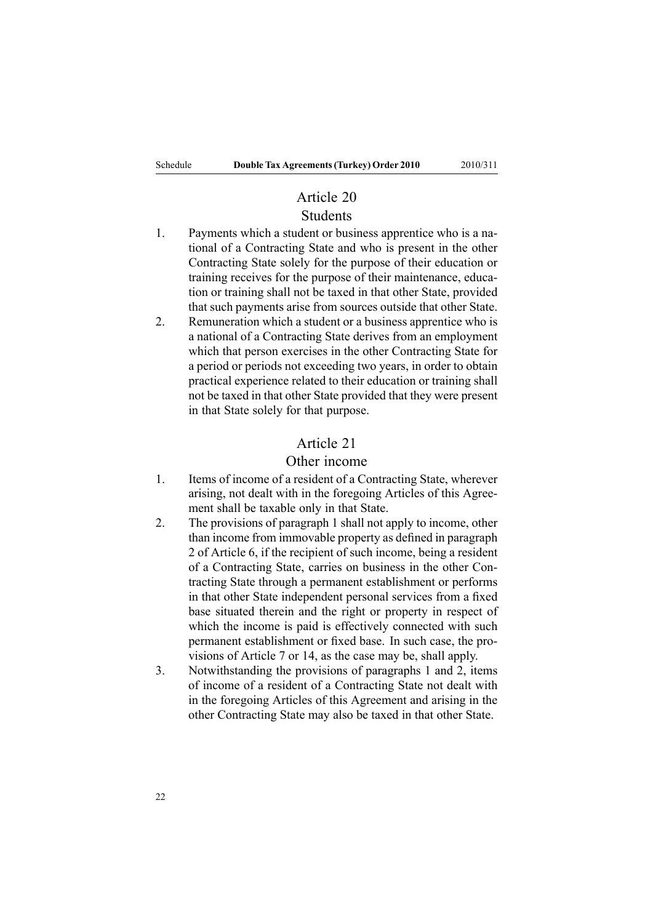# Article 20

### Students

- 1. Payments which <sup>a</sup> student or business apprentice who is <sup>a</sup> national of <sup>a</sup> Contracting State and who is presen<sup>t</sup> in the other Contracting State solely for the purpose of their education or training receives for the purpose of their maintenance, education or training shall not be taxed in that other State, provided that such payments arise from sources outside that other State.
- 2. Remuneration which <sup>a</sup> student or <sup>a</sup> business apprentice who is <sup>a</sup> national of <sup>a</sup> Contracting State derives from an employment which that person exercises in the other Contracting State for <sup>a</sup> period or periods not exceeding two years, in order to obtain practical experience related to their education or training shall not be taxed in that other State provided that they were presen<sup>t</sup> in that State solely for that purpose.

## Article 21

### Other income

- 1. Items of income of <sup>a</sup> resident of <sup>a</sup> Contracting State, wherever arising, not dealt with in the foregoing Articles of this Agreement shall be taxable only in that State.
- 2. The provisions of paragraph 1 shall not apply to income, other than income from immovable property as defined in paragraph 2 of Article 6, if the recipient of such income, being <sup>a</sup> resident of <sup>a</sup> Contracting State, carries on business in the other Contracting State through <sup>a</sup> permanen<sup>t</sup> establishment or performs in that other State independent personal services from <sup>a</sup> fixed base situated therein and the right or property in respec<sup>t</sup> of which the income is paid is effectively connected with such permanen<sup>t</sup> establishment or fixed base. In such case, the provisions of Article 7 or 14, as the case may be, shall apply.
- 3. Notwithstanding the provisions of paragraphs 1 and 2, items of income of <sup>a</sup> resident of <sup>a</sup> Contracting State not dealt with in the foregoing Articles of this Agreement and arising in the other Contracting State may also be taxed in that other State.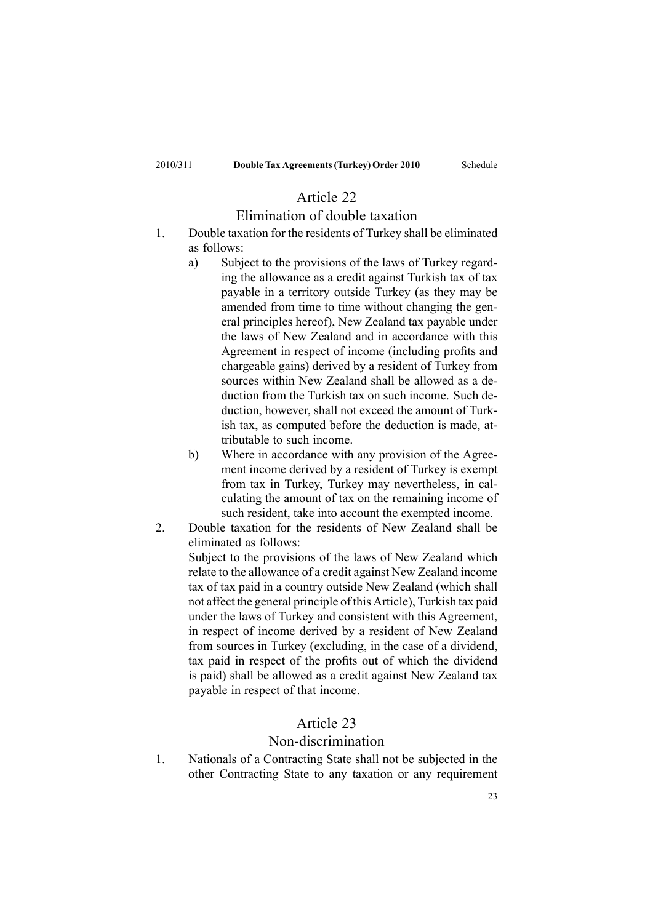# Article 22

# Elimination of double taxation

- 1. Double taxation for the residents of Turkey shall be eliminated as follows:
	- a) Subject to the provisions of the laws of Turkey regarding the allowance as <sup>a</sup> credit against Turkish tax of tax payable in <sup>a</sup> territory outside Turkey (as they may be amended from time to time without changing the general principles hereof), New Zealand tax payable under the laws of New Zealand and in accordance with this Agreement in respec<sup>t</sup> of income (including profits and chargeable gains) derived by <sup>a</sup> resident of Turkey from sources within New Zealand shall be allowed as <sup>a</sup> deduction from the Turkish tax on such income. Such deduction, however, shall not exceed the amount of Turkish tax, as computed before the deduction is made, attributable to such income.
	- b) Where in accordance with any provision of the Agreement income derived by <sup>a</sup> resident of Turkey is exemp<sup>t</sup> from tax in Turkey, Turkey may nevertheless, in calculating the amount of tax on the remaining income of such resident, take into account the exempted income.
- 2. Double taxation for the residents of New Zealand shall be eliminated as follows: Subject to the provisions of the laws of New Zealand which relate to the allowance of <sup>a</sup> credit against New Zealand income tax of tax paid in <sup>a</sup> country outside New Zealand (which shall not affect the general principle of this Article), Turkish tax paid under the laws of Turkey and consistent with this Agreement, in respec<sup>t</sup> of income derived by <sup>a</sup> resident of New Zealand from sources in Turkey (excluding, in the case of <sup>a</sup> dividend, tax paid in respec<sup>t</sup> of the profits out of which the dividend is paid) shall be allowed as <sup>a</sup> credit against New Zealand tax payable in respec<sup>t</sup> of that income.

# Article 23

## Non-discrimination

1. Nationals of <sup>a</sup> Contracting State shall not be subjected in the other Contracting State to any taxation or any requirement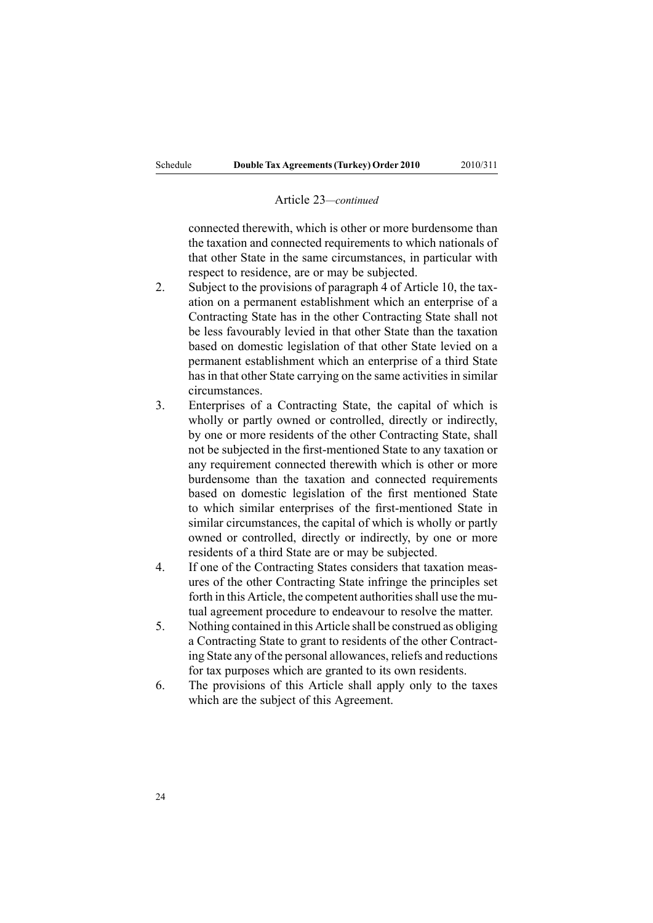#### Article 23*—continued*

connected therewith, which is other or more burdensome than the taxation and connected requirements to which nationals of that other State in the same circumstances, in particular with respec<sup>t</sup> to residence, are or may be subjected.

- 2. Subject to the provisions of paragraph 4 of Article 10, the taxation on <sup>a</sup> permanen<sup>t</sup> establishment which an enterprise of <sup>a</sup> Contracting State has in the other Contracting State shall not be less favourably levied in that other State than the taxation based on domestic legislation of that other State levied on <sup>a</sup> permanen<sup>t</sup> establishment which an enterprise of <sup>a</sup> third State has in that other State carrying on the same activities in similar circumstances.
- 3. Enterprises of <sup>a</sup> Contracting State, the capital of which is wholly or partly owned or controlled, directly or indirectly, by one or more residents of the other Contracting State, shall not be subjected in the first-mentioned State to any taxation or any requirement connected therewith which is other or more burdensome than the taxation and connected requirements based on domestic legislation of the first mentioned State to which similar enterprises of the first-mentioned State in similar circumstances, the capital of which is wholly or partly owned or controlled, directly or indirectly, by one or more residents of <sup>a</sup> third State are or may be subjected.
- 4. If one of the Contracting States considers that taxation measures of the other Contracting State infringe the principles set forth in this Article, the competent authorities shall use the mutual agreemen<sup>t</sup> procedure to endeavour to resolve the matter.
- 5. Nothing contained in this Article shall be construed as obliging <sup>a</sup> Contracting State to gran<sup>t</sup> to residents of the other Contracting State any of the personal allowances, reliefs and reductions for tax purposes which are granted to its own residents.
- 6. The provisions of this Article shall apply only to the taxes which are the subject of this Agreement.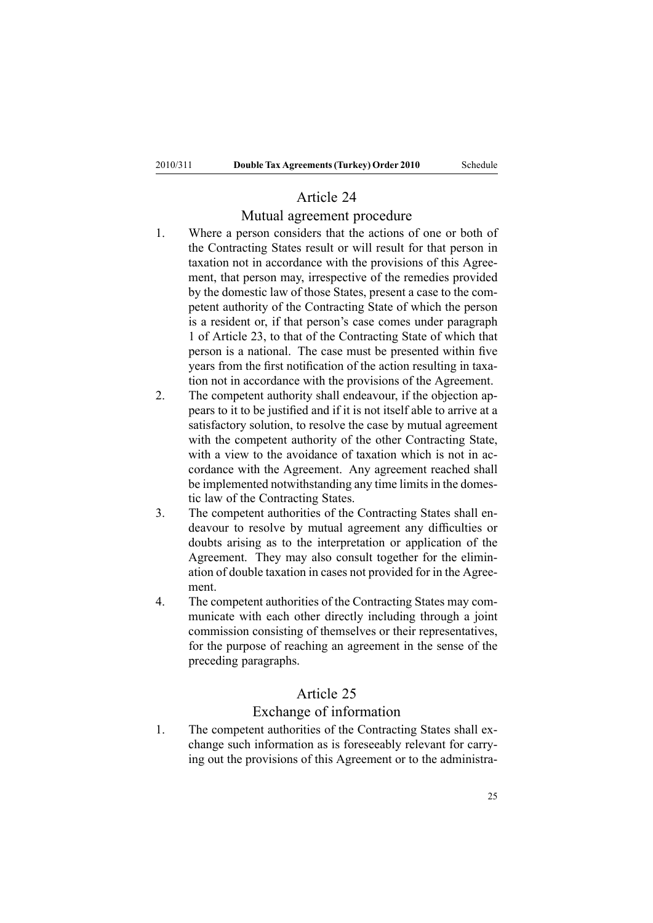# Article 24

### Mutual agreemen<sup>t</sup> procedure

- 1. Where <sup>a</sup> person considers that the actions of one or both of the Contracting States result or will result for that person in taxation not in accordance with the provisions of this Agreement, that person may, irrespective of the remedies provided by the domestic law of those States, presen<sup>t</sup> <sup>a</sup> case to the competent authority of the Contracting State of which the person is <sup>a</sup> resident or, if that person's case comes under paragraph 1 of Article 23, to that of the Contracting State of which that person is <sup>a</sup> national. The case must be presented within five years from the first notification of the action resulting in taxation not in accordance with the provisions of the Agreement.
- 2. The competent authority shall endeavour, if the objection appears to it to be justified and if it is not itself able to arrive at <sup>a</sup> satisfactory solution, to resolve the case by mutual agreemen<sup>t</sup> with the competent authority of the other Contracting State, with a view to the avoidance of taxation which is not in accordance with the Agreement. Any agreemen<sup>t</sup> reached shall be implemented notwithstanding any time limits in the domestic law of the Contracting States.
- 3. The competent authorities of the Contracting States shall endeavour to resolve by mutual agreemen<sup>t</sup> any difficulties or doubts arising as to the interpretation or application of the Agreement. They may also consult together for the elimination of double taxation in cases not provided for in the Agreement.
- 4. The competent authorities of the Contracting States may communicate with each other directly including through <sup>a</sup> joint commission consisting of themselves or their representatives, for the purpose of reaching an agreemen<sup>t</sup> in the sense of the preceding paragraphs.

# Article 25

#### Exchange of information

1. The competent authorities of the Contracting States shall exchange such information as is foreseeably relevant for carrying out the provisions of this Agreement or to the administra-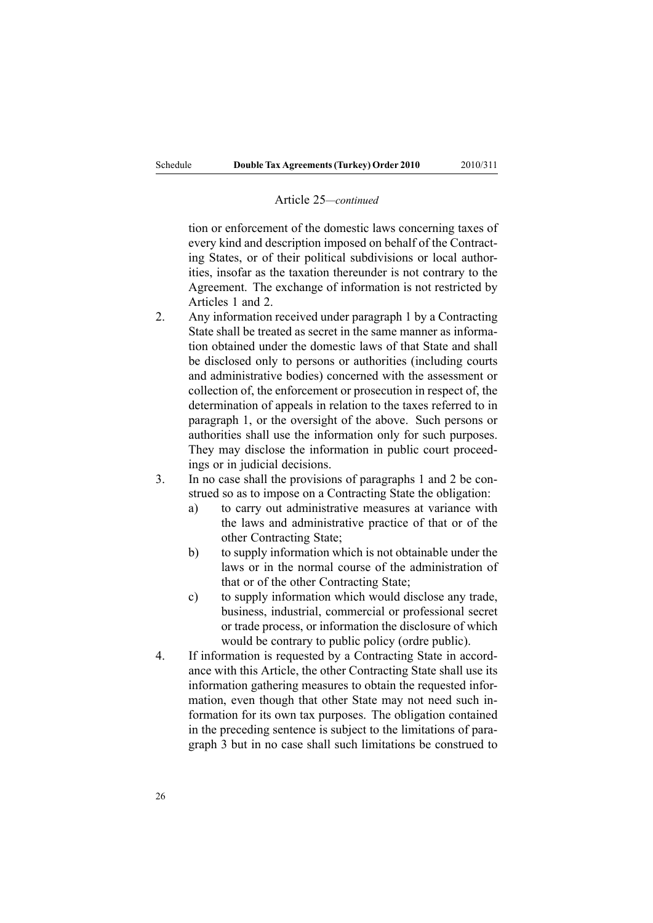#### Article 25*—continued*

tion or enforcement of the domestic laws concerning taxes of every kind and description imposed on behalf of the Contracting States, or of their political subdivisions or local authorities, insofar as the taxation thereunder is not contrary to the Agreement. The exchange of information is not restricted by Articles 1 and 2.

- 2. Any information received under paragraph 1 by <sup>a</sup> Contracting State shall be treated as secret in the same manner as information obtained under the domestic laws of that State and shall be disclosed only to persons or authorities (including courts and administrative bodies) concerned with the assessment or collection of, the enforcement or prosecution in respec<sup>t</sup> of, the determination of appeals in relation to the taxes referred to in paragraph 1, or the oversight of the above. Such persons or authorities shall use the information only for such purposes. They may disclose the information in public court proceedings or in judicial decisions.
- 3. In no case shall the provisions of paragraphs 1 and 2 be construed so as to impose on <sup>a</sup> Contracting State the obligation:
	- a) to carry out administrative measures at variance with the laws and administrative practice of that or of the other Contracting State;
	- b) to supply information which is not obtainable under the laws or in the normal course of the administration of that or of the other Contracting State;
	- c) to supply information which would disclose any trade, business, industrial, commercial or professional secret or trade process, or information the disclosure of which would be contrary to public policy (ordre public).
- 4. If information is requested by <sup>a</sup> Contracting State in accordance with this Article, the other Contracting State shall use its information gathering measures to obtain the requested information, even though that other State may not need such information for its own tax purposes. The obligation contained in the preceding sentence is subject to the limitations of paragraph 3 but in no case shall such limitations be construed to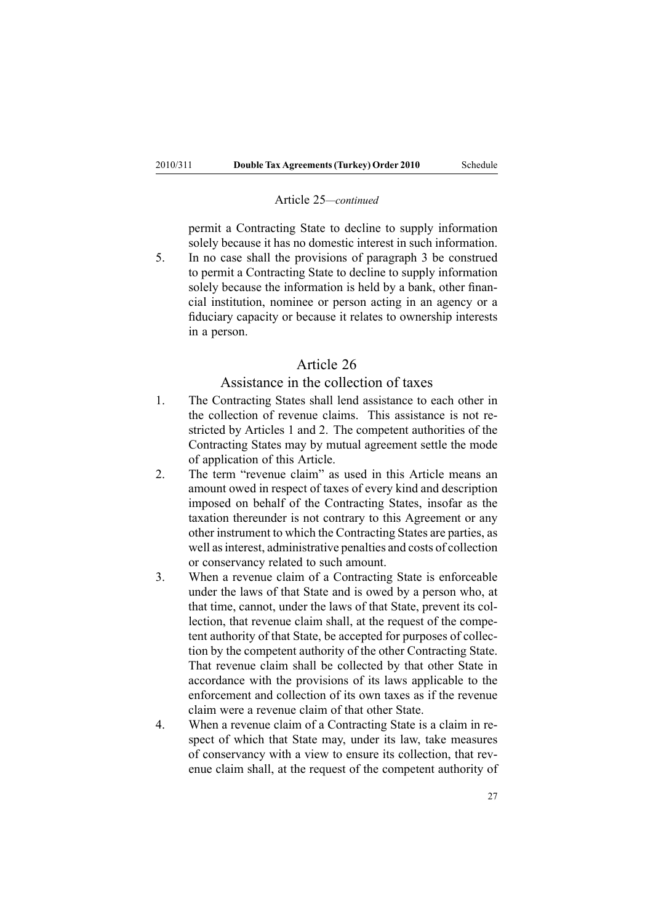### Article 25*—continued*

permit <sup>a</sup> Contracting State to decline to supply information solely because it has no domestic interest in such information.

5. In no case shall the provisions of paragraph 3 be construed to permit <sup>a</sup> Contracting State to decline to supply information solely because the information is held by <sup>a</sup> bank, other financial institution, nominee or person acting in an agency or <sup>a</sup> fiduciary capacity or because it relates to ownership interests in <sup>a</sup> person.

# Article 26

# Assistance in the collection of taxes

- 1. The Contracting States shall lend assistance to each other in the collection of revenue claims. This assistance is not restricted by Articles 1 and 2. The competent authorities of the Contracting States may by mutual agreemen<sup>t</sup> settle the mode of application of this Article.
- 2. The term "revenue claim" as used in this Article means an amount owed in respec<sup>t</sup> of taxes of every kind and description imposed on behalf of the Contracting States, insofar as the taxation thereunder is not contrary to this Agreement or any other instrument to which the Contracting States are parties, as well asinterest, administrative penalties and costs of collection or conservancy related to such amount.
- 3. When <sup>a</sup> revenue claim of <sup>a</sup> Contracting State is enforceable under the laws of that State and is owed by <sup>a</sup> person who, at that time, cannot, under the laws of that State, preven<sup>t</sup> its collection, that revenue claim shall, at the reques<sup>t</sup> of the competent authority of that State, be accepted for purposes of collection by the competent authority of the other Contracting State. That revenue claim shall be collected by that other State in accordance with the provisions of its laws applicable to the enforcement and collection of its own taxes as if the revenue claim were <sup>a</sup> revenue claim of that other State.
- 4. When <sup>a</sup> revenue claim of <sup>a</sup> Contracting State is <sup>a</sup> claim in respec<sup>t</sup> of which that State may, under its law, take measures of conservancy with <sup>a</sup> view to ensure its collection, that revenue claim shall, at the reques<sup>t</sup> of the competent authority of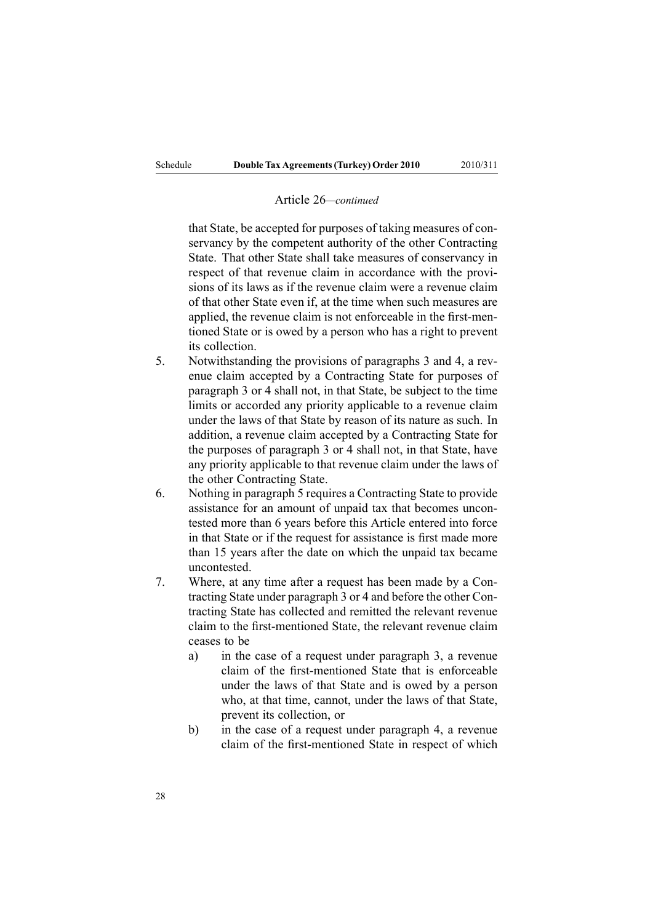### Article 26*—continued*

that State, be accepted for purposes of taking measures of conservancy by the competent authority of the other Contracting State. That other State shall take measures of conservancy in respec<sup>t</sup> of that revenue claim in accordance with the provisions of its laws as if the revenue claim were <sup>a</sup> revenue claim of that other State even if, at the time when such measures are applied, the revenue claim is not enforceable in the first-mentioned State or is owed by <sup>a</sup> person who has <sup>a</sup> right to preven<sup>t</sup> its collection.

- 5. Notwithstanding the provisions of paragraphs 3 and 4, <sup>a</sup> revenue claim accepted by <sup>a</sup> Contracting State for purposes of paragraph 3 or 4 shall not, in that State, be subject to the time limits or accorded any priority applicable to <sup>a</sup> revenue claim under the laws of that State by reason of its nature as such. In addition, <sup>a</sup> revenue claim accepted by <sup>a</sup> Contracting State for the purposes of paragraph 3 or 4 shall not, in that State, have any priority applicable to that revenue claim under the laws of the other Contracting State.
- 6. Nothing in paragraph 5 requires <sup>a</sup> Contracting State to provide assistance for an amount of unpaid tax that becomes uncontested more than 6 years before this Article entered into force in that State or if the reques<sup>t</sup> for assistance is first made more than 15 years after the date on which the unpaid tax became uncontested.
- 7. Where, at any time after <sup>a</sup> reques<sup>t</sup> has been made by <sup>a</sup> Contracting State under paragraph 3 or 4 and before the other Contracting State has collected and remitted the relevant revenue claim to the first-mentioned State, the relevant revenue claim ceases to be
	- a) in the case of <sup>a</sup> reques<sup>t</sup> under paragraph 3, <sup>a</sup> revenue claim of the first-mentioned State that is enforceable under the laws of that State and is owed by <sup>a</sup> person who, at that time, cannot, under the laws of that State, preven<sup>t</sup> its collection, or
	- b) in the case of <sup>a</sup> reques<sup>t</sup> under paragraph 4, <sup>a</sup> revenue claim of the first-mentioned State in respec<sup>t</sup> of which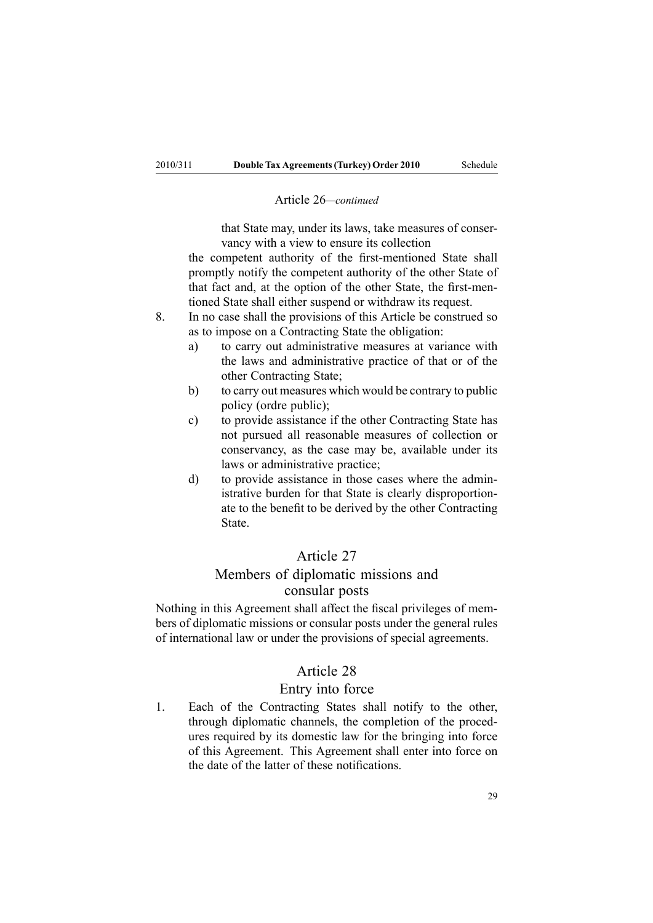#### Article 26*—continued*

that State may, under its laws, take measures of conservancy with <sup>a</sup> view to ensure its collection

the competent authority of the first-mentioned State shall promptly notify the competent authority of the other State of that fact and, at the option of the other State, the first-mentioned State shall either suspend or withdraw its request.

- 8. In no case shall the provisions of this Article be construed so as to impose on <sup>a</sup> Contracting State the obligation:
	- a) to carry out administrative measures at variance with the laws and administrative practice of that or of the other Contracting State;
	- b) to carry out measures which would be contrary to public policy (ordre public);
	- c) to provide assistance if the other Contracting State has not pursued all reasonable measures of collection or conservancy, as the case may be, available under its laws or administrative practice;
	- d) to provide assistance in those cases where the administrative burden for that State is clearly disproportionate to the benefit to be derived by the other Contracting **State**

### Article 27

# Members of diplomatic missions and consular posts

Nothing in this Agreement shall affect the fiscal privileges of members of diplomatic missions or consular posts under the general rules of international law or under the provisions of special agreements.

### Article 28

### Entry into force

1. Each of the Contracting States shall notify to the other, through diplomatic channels, the completion of the procedures required by its domestic law for the bringing into force of this Agreement. This Agreement shall enter into force on the date of the latter of these notifications.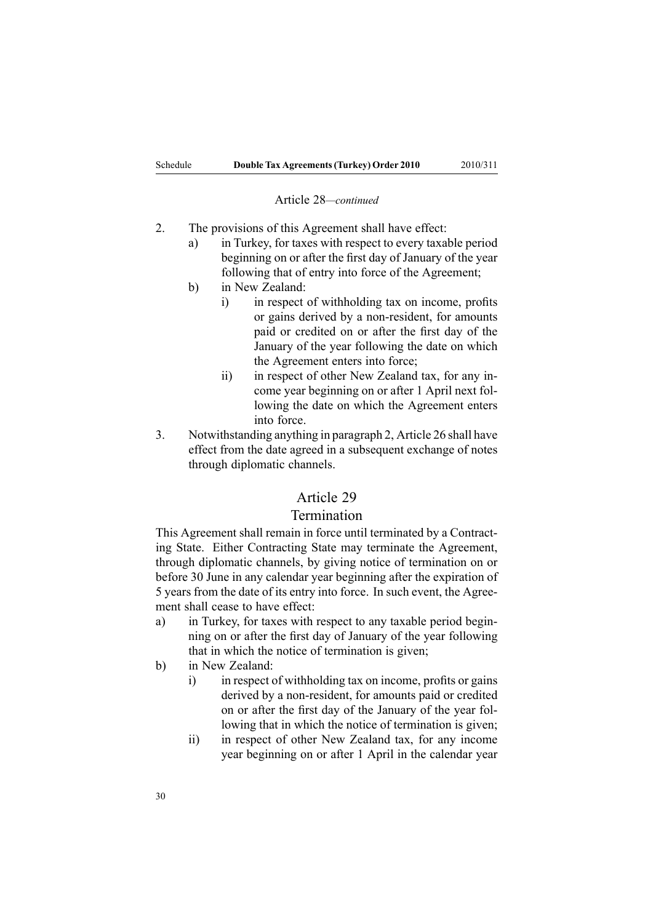#### Article 28*—continued*

- 2. The provisions of this Agreement shall have effect:
	- a) in Turkey, for taxes with respec<sup>t</sup> to every taxable period beginning on or after the first day of January of the year following that of entry into force of the Agreement;
	- b) in New Zealand:
		- i) in respec<sup>t</sup> of withholding tax on income, profits or gains derived by <sup>a</sup> non-resident, for amounts paid or credited on or after the first day of the January of the year following the date on which the Agreement enters into force;
		- ii) in respect of other New Zealand tax, for any income year beginning on or after 1 April next following the date on which the Agreement enters into force.
- 3. Notwithstanding anything in paragraph 2, Article 26 shall have effect from the date agreed in <sup>a</sup> subsequent exchange of notes through diplomatic channels.

# Article 29

#### Termination

This Agreement shall remain in force until terminated by <sup>a</sup> Contracting State. Either Contracting State may terminate the Agreement, through diplomatic channels, by giving notice of termination on or before 30 June in any calendar year beginning after the expiration of 5 years from the date of its entry into force. In such event, the Agreement shall cease to have effect:

- a) in Turkey, for taxes with respec<sup>t</sup> to any taxable period beginning on or after the first day of January of the year following that in which the notice of termination is given;
- b) in New Zealand:
	- i) in respect of withholding tax on income, profits or gains derived by <sup>a</sup> non-resident, for amounts paid or credited on or after the first day of the January of the year following that in which the notice of termination is given;
	- ii) in respec<sup>t</sup> of other New Zealand tax, for any income year beginning on or after 1 April in the calendar year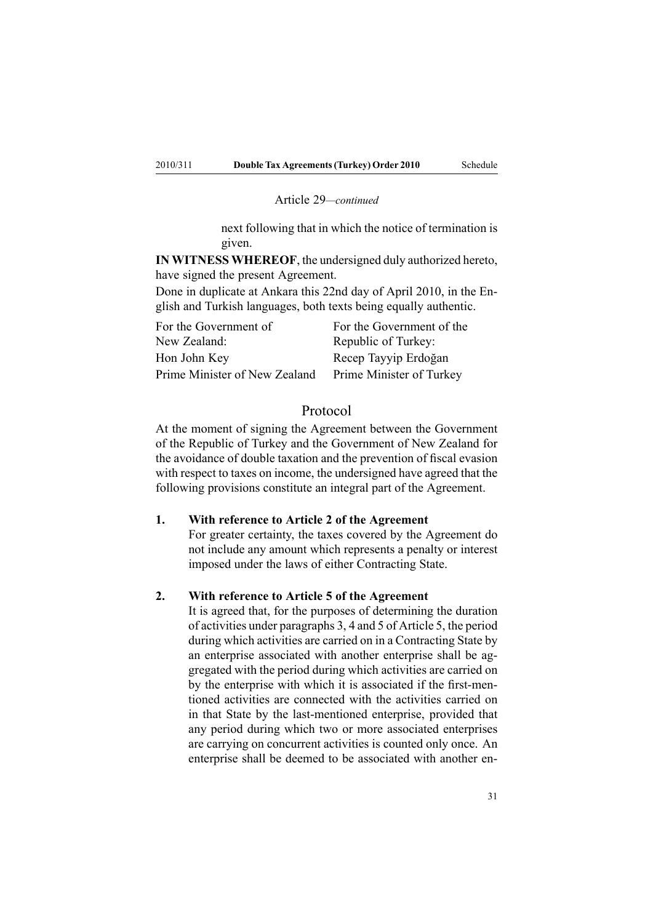### Article 29*—continued*

next following that in which the notice of termination is given.

**IN WITNESS WHEREOF**, the undersigned duly authorized hereto, have signed the presen<sup>t</sup> Agreement.

Done in duplicate at Ankara this 22nd day of April 2010, in the English and Turkish languages, both texts being equally authentic.

| For the Government of         | For the Government of the |
|-------------------------------|---------------------------|
| New Zealand:                  | Republic of Turkey:       |
| Hon John Key                  | Recep Tayyip Erdoğan      |
| Prime Minister of New Zealand | Prime Minister of Turkey  |

### Protocol

At the moment of signing the Agreement between the Government of the Republic of Turkey and the Government of New Zealand for the avoidance of double taxation and the prevention of fiscal evasion with respec<sup>t</sup> to taxes on income, the undersigned have agreed that the following provisions constitute an integral par<sup>t</sup> of the Agreement.

#### **1. With reference to Article 2 of the Agreement**

For greater certainty, the taxes covered by the Agreement do not include any amount which represents <sup>a</sup> penalty or interest imposed under the laws of either Contracting State.

#### **2. With reference to Article 5 of the Agreement**

It is agreed that, for the purposes of determining the duration of activities under paragraphs 3, 4 and 5 of Article 5, the period during which activities are carried on in <sup>a</sup> Contracting State by an enterprise associated with another enterprise shall be aggregated with the period during which activities are carried on by the enterprise with which it is associated if the first-mentioned activities are connected with the activities carried on in that State by the last-mentioned enterprise, provided that any period during which two or more associated enterprises are carrying on concurrent activities is counted only once. An enterprise shall be deemed to be associated with another en-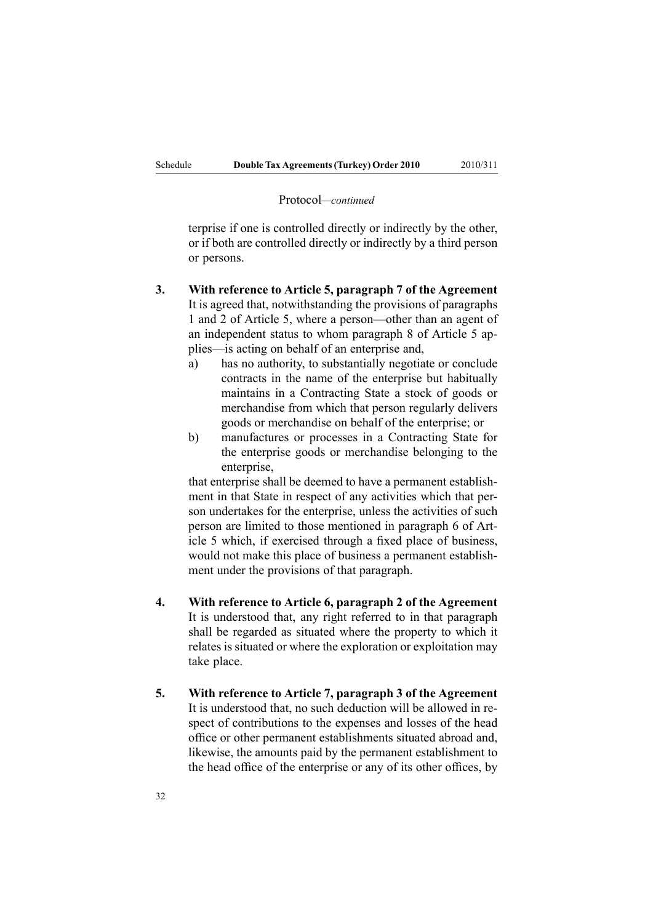terprise if one is controlled directly or indirectly by the other, or if both are controlled directly or indirectly by <sup>a</sup> third person or persons.

- **3. With reference to Article 5, paragraph 7 of the Agreement** It is agreed that, notwithstanding the provisions of paragraphs 1 and 2 of Article 5, where <sup>a</sup> person—other than an agen<sup>t</sup> of an independent status to whom paragraph 8 of Article 5 applies—is acting on behalf of an enterprise and,
	- a) has no authority, to substantially negotiate or conclude contracts in the name of the enterprise but habitually maintains in <sup>a</sup> Contracting State <sup>a</sup> stock of goods or merchandise from which that person regularly delivers goods or merchandise on behalf of the enterprise; or
	- b) manufactures or processes in <sup>a</sup> Contracting State for the enterprise goods or merchandise belonging to the enterprise,

that enterprise shall be deemed to have <sup>a</sup> permanen<sup>t</sup> establishment in that State in respec<sup>t</sup> of any activities which that person undertakes for the enterprise, unless the activities of such person are limited to those mentioned in paragraph 6 of Article 5 which, if exercised through <sup>a</sup> fixed place of business, would not make this place of business <sup>a</sup> permanen<sup>t</sup> establishment under the provisions of that paragraph.

- **4. With reference to Article 6, paragraph 2 of the Agreement** It is understood that, any right referred to in that paragraph shall be regarded as situated where the property to which it relates is situated or where the exploration or exploitation may take place.
- **5. With reference to Article 7, paragraph 3 of the Agreement** It is understood that, no such deduction will be allowed in respec<sup>t</sup> of contributions to the expenses and losses of the head office or other permanen<sup>t</sup> establishments situated abroad and, likewise, the amounts paid by the permanen<sup>t</sup> establishment to the head office of the enterprise or any of its other offices, by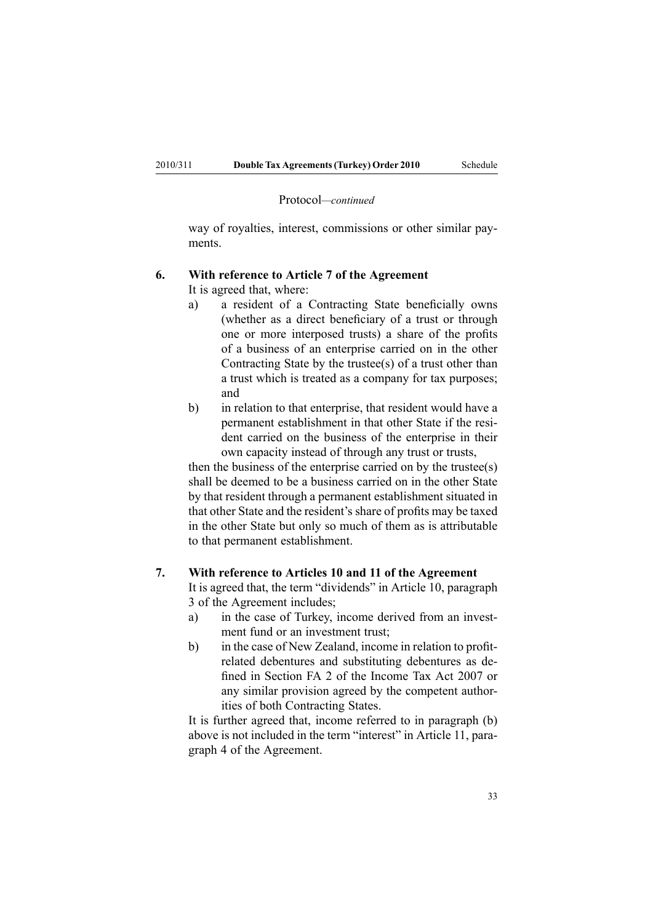way of royalties, interest, commissions or other similar payments.

### **6. With reference to Article 7 of the Agreement**

It is agreed that, where:

- a) <sup>a</sup> resident of <sup>a</sup> Contracting State beneficially owns (whether as <sup>a</sup> direct beneficiary of <sup>a</sup> trust or through one or more interposed trusts) <sup>a</sup> share of the profits of <sup>a</sup> business of an enterprise carried on in the other Contracting State by the trustee(s) of <sup>a</sup> trust other than <sup>a</sup> trust which is treated as <sup>a</sup> company for tax purposes; and
- b) in relation to that enterprise, that resident would have <sup>a</sup> permanen<sup>t</sup> establishment in that other State if the resident carried on the business of the enterprise in their own capacity instead of through any trust or trusts,

then the business of the enterprise carried on by the trustee(s) shall be deemed to be <sup>a</sup> business carried on in the other State by that resident through <sup>a</sup> permanen<sup>t</sup> establishment situated in that other State and the resident's share of profits may be taxed in the other State but only so much of them as is attributable to that permanen<sup>t</sup> establishment.

#### **7. With reference to Articles 10 and 11 of the Agreement**

It is agreed that, the term "dividends" in Article 10, paragraph 3 of the Agreement includes;

- a) in the case of Turkey, income derived from an investment fund or an investment trust;
- b) in the case of New Zealand, income in relation to profitrelated debentures and substituting debentures as defined in Section FA 2 of the Income Tax Act 2007 or any similar provision agreed by the competent authorities of both Contracting States.

It is further agreed that, income referred to in paragraph (b) above is not included in the term "interest" in Article 11, paragraph 4 of the Agreement.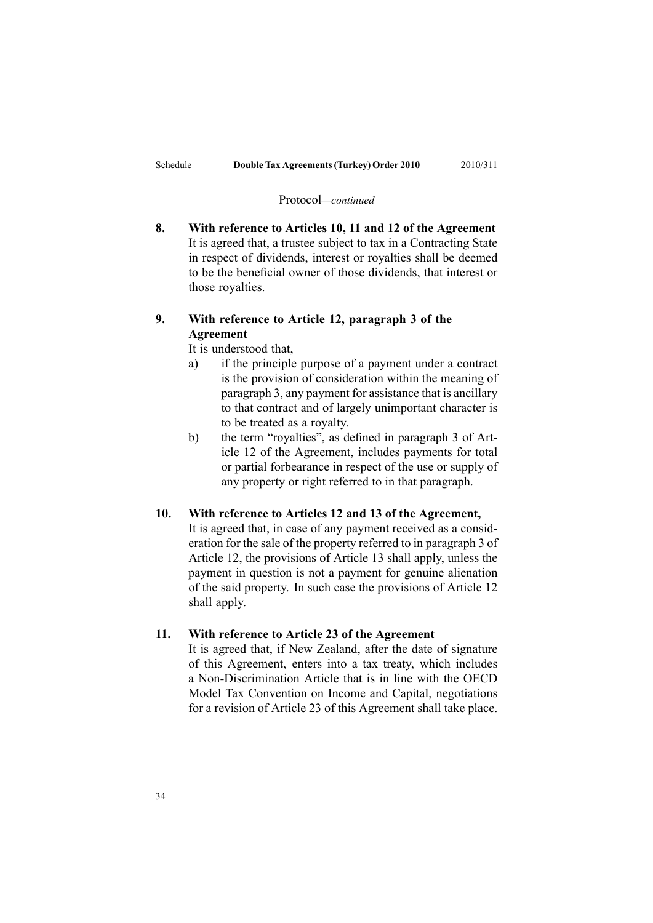**8. With reference to Articles 10, 11 and 12 of the Agreement** It is agreed that, <sup>a</sup> trustee subject to tax in <sup>a</sup> Contracting State in respec<sup>t</sup> of dividends, interest or royalties shall be deemed to be the beneficial owner of those dividends, that interest or those royalties.

# **9. With reference to Article 12, paragraph 3 of the Agreement**

It is understood that,

- a) if the principle purpose of <sup>a</sup> paymen<sup>t</sup> under <sup>a</sup> contract is the provision of consideration within the meaning of paragraph 3, any paymen<sup>t</sup> for assistance that is ancillary to that contract and of largely unimportant character is to be treated as <sup>a</sup> royalty.
- b) the term "royalties", as defined in paragraph 3 of Article 12 of the Agreement, includes payments for total or partial forbearance in respec<sup>t</sup> of the use or supply of any property or right referred to in that paragraph.

#### **10. With reference to Articles 12 and 13 of the Agreement,**

It is agreed that, in case of any paymen<sup>t</sup> received as <sup>a</sup> consideration for the sale of the property referred to in paragraph 3 of Article 12, the provisions of Article 13 shall apply, unless the paymen<sup>t</sup> in question is not <sup>a</sup> paymen<sup>t</sup> for genuine alienation of the said property. In such case the provisions of Article 12 shall apply.

### **11. With reference to Article 23 of the Agreement**

It is agreed that, if New Zealand, after the date of signature of this Agreement, enters into <sup>a</sup> tax treaty, which includes <sup>a</sup> Non-Discrimination Article that is in line with the OECD Model Tax Convention on Income and Capital, negotiations for <sup>a</sup> revision of Article 23 of this Agreement shall take place.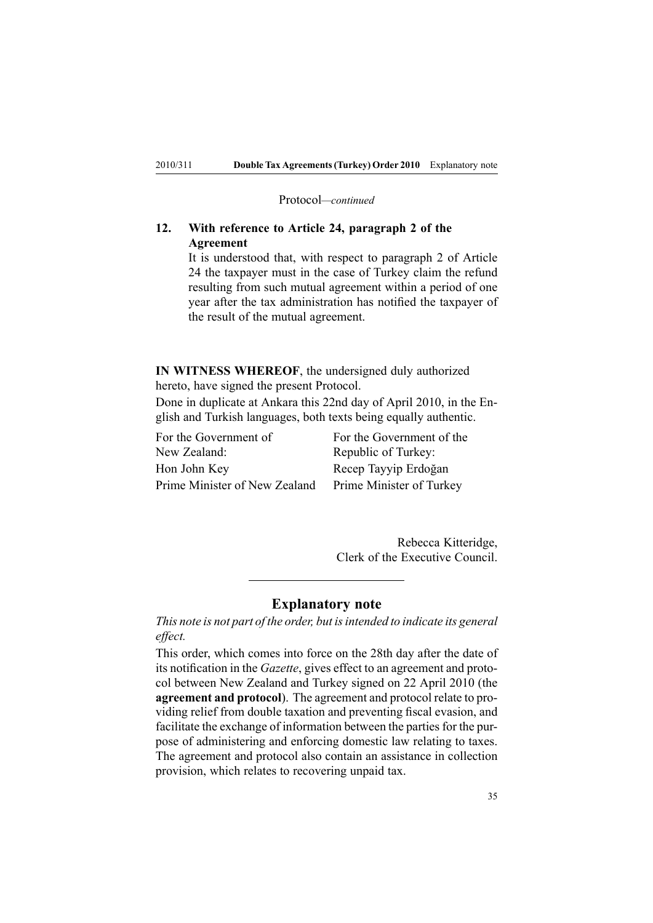# **12. With reference to Article 24, paragraph 2 of the Agreement**

It is understood that, with respec<sup>t</sup> to paragraph 2 of Article 24 the taxpayer must in the case of Turkey claim the refund resulting from such mutual agreemen<sup>t</sup> within <sup>a</sup> period of one year after the tax administration has notified the taxpayer of the result of the mutual agreement.

**IN WITNESS WHEREOF**, the undersigned duly authorized hereto, have signed the presen<sup>t</sup> Protocol.

Done in duplicate at Ankara this 22nd day of April 2010, in the English and Turkish languages, both texts being equally authentic.

For the Government of New Zealand: Hon John Key Recep Tayyip Erdoğan Prime Minister of New Zealand Prime Minister of Turkey

For the Government of the Republic of Turkey:

Rebecca Kitteridge, Clerk of the Executive Council.

#### **Explanatory note**

*This note is not par<sup>t</sup> of the order, but isintended to indicate its general effect.*

This order, which comes into force on the 28th day after the date of its notification in the *Gazette*, gives effect to an agreemen<sup>t</sup> and protocol between New Zealand and Turkey signed on 22 April 2010 (the **agreemen<sup>t</sup> and protocol**). The agreemen<sup>t</sup> and protocol relate to providing relief from double taxation and preventing fiscal evasion, and facilitate the exchange of information between the parties for the purpose of administering and enforcing domestic law relating to taxes. The agreemen<sup>t</sup> and protocol also contain an assistance in collection provision, which relates to recovering unpaid tax.